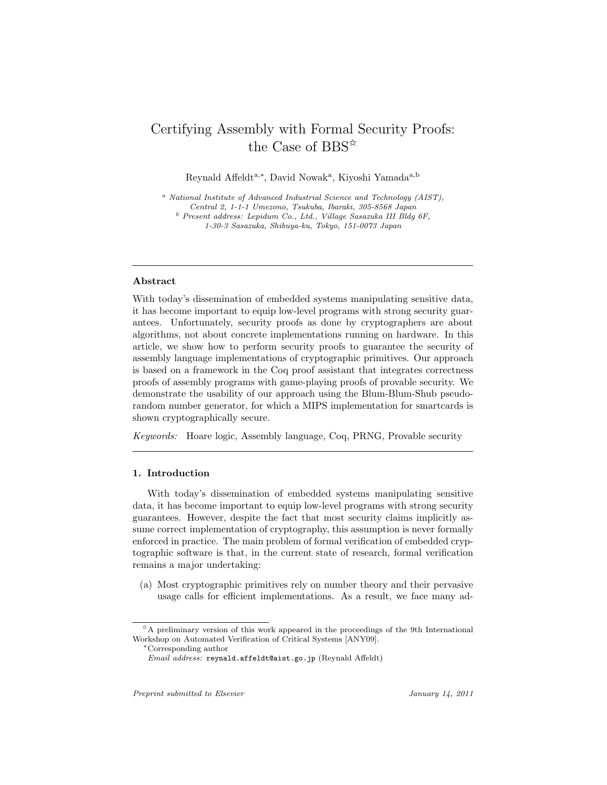# Certifying Assembly with Formal Security Proofs: the Case of BBS $\hat{z}$

Reynald Affeldt<sup>a,∗</sup>, David Nowak<sup>a</sup>, Kiyoshi Yamada<sup>a,b</sup>

1-30-3 Sasazuka, Shibuya-ku, Tokyo, 151-0073 Japan

# Abstract

With today's dissemination of embedded systems manipulating sensitive data, it has become important to equip low-level programs with strong security guarantees. Unfortunately, security proofs as done by cryptographers are about algorithms, not about concrete implementations running on hardware. In this article, we show how to perform security proofs to guarantee the security of assembly language implementations of cryptographic primitives. Our approach is based on a framework in the Coq proof assistant that integrates correctness proofs of assembly programs with game-playing proofs of provable security. We demonstrate the usability of our approach using the Blum-Blum-Shub pseudorandom number generator, for which a MIPS implementation for smartcards is shown cryptographically secure.

Keywords: Hoare logic, Assembly language, Coq, PRNG, Provable security

# 1. Introduction

With today's dissemination of embedded systems manipulating sensitive data, it has become important to equip low-level programs with strong security guarantees. However, despite the fact that most security claims implicitly assume correct implementation of cryptography, this assumption is never formally enforced in practice. The main problem of formal verification of embedded cryptographic software is that, in the current state of research, formal verification remains a major undertaking:

(a) Most cryptographic primitives rely on number theory and their pervasive usage calls for efficient implementations. As a result, we face many ad-

<sup>&</sup>lt;sup>a</sup> National Institute of Advanced Industrial Science and Technology (AIST), Central 2, 1-1-1 Umezono, Tsukuba, Ibaraki, 305-8568 Japan  $^{\rm b}$  Present address: Lepidum Co., Ltd., Village Sasazuka III Bldg 6F,

 $\hat{A}$  preliminary version of this work appeared in the proceedings of the 9th International Workshop on Automated Verification of Critical Systems [ANY09].

<sup>∗</sup>Corresponding author

Email address: reynald.affeldt@aist.go.jp (Reynald Affeldt)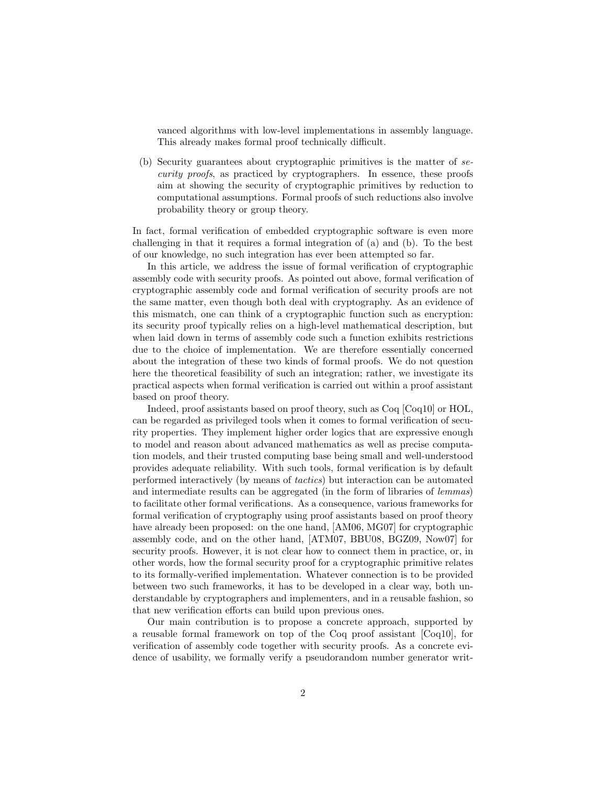vanced algorithms with low-level implementations in assembly language. This already makes formal proof technically difficult.

(b) Security guarantees about cryptographic primitives is the matter of security proofs, as practiced by cryptographers. In essence, these proofs aim at showing the security of cryptographic primitives by reduction to computational assumptions. Formal proofs of such reductions also involve probability theory or group theory.

In fact, formal verification of embedded cryptographic software is even more challenging in that it requires a formal integration of (a) and (b). To the best of our knowledge, no such integration has ever been attempted so far.

In this article, we address the issue of formal verification of cryptographic assembly code with security proofs. As pointed out above, formal verification of cryptographic assembly code and formal verification of security proofs are not the same matter, even though both deal with cryptography. As an evidence of this mismatch, one can think of a cryptographic function such as encryption: its security proof typically relies on a high-level mathematical description, but when laid down in terms of assembly code such a function exhibits restrictions due to the choice of implementation. We are therefore essentially concerned about the integration of these two kinds of formal proofs. We do not question here the theoretical feasibility of such an integration; rather, we investigate its practical aspects when formal verification is carried out within a proof assistant based on proof theory.

Indeed, proof assistants based on proof theory, such as Coq [Coq10] or HOL, can be regarded as privileged tools when it comes to formal verification of security properties. They implement higher order logics that are expressive enough to model and reason about advanced mathematics as well as precise computation models, and their trusted computing base being small and well-understood provides adequate reliability. With such tools, formal verification is by default performed interactively (by means of tactics) but interaction can be automated and intermediate results can be aggregated (in the form of libraries of lemmas) to facilitate other formal verifications. As a consequence, various frameworks for formal verification of cryptography using proof assistants based on proof theory have already been proposed: on the one hand, [AM06, MG07] for cryptographic assembly code, and on the other hand, [ATM07, BBU08, BGZ09, Now07] for security proofs. However, it is not clear how to connect them in practice, or, in other words, how the formal security proof for a cryptographic primitive relates to its formally-verified implementation. Whatever connection is to be provided between two such frameworks, it has to be developed in a clear way, both understandable by cryptographers and implementers, and in a reusable fashion, so that new verification efforts can build upon previous ones.

Our main contribution is to propose a concrete approach, supported by a reusable formal framework on top of the Coq proof assistant [Coq10], for verification of assembly code together with security proofs. As a concrete evidence of usability, we formally verify a pseudorandom number generator writ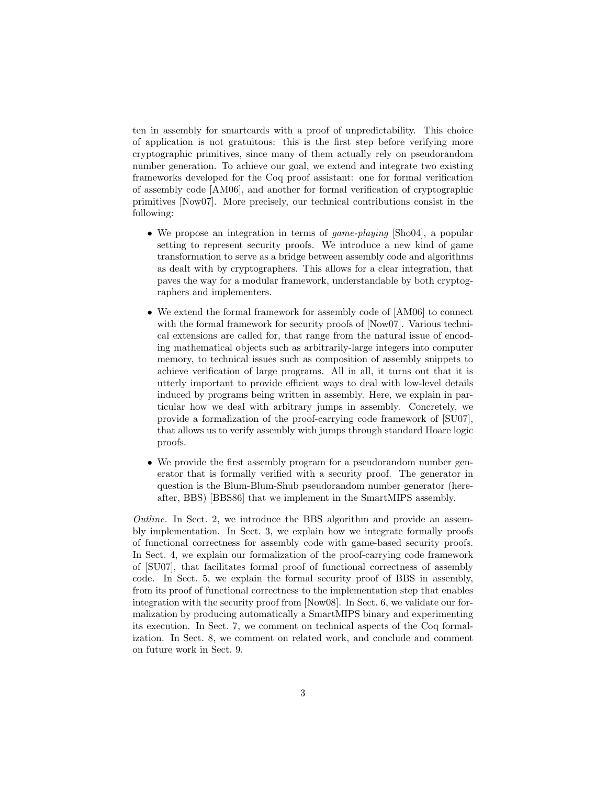ten in assembly for smartcards with a proof of unpredictability. This choice of application is not gratuitous: this is the first step before verifying more cryptographic primitives, since many of them actually rely on pseudorandom number generation. To achieve our goal, we extend and integrate two existing frameworks developed for the Coq proof assistant: one for formal verification of assembly code [AM06], and another for formal verification of cryptographic primitives [Now07]. More precisely, our technical contributions consist in the following:

- We propose an integration in terms of game-playing [Sho04], a popular setting to represent security proofs. We introduce a new kind of game transformation to serve as a bridge between assembly code and algorithms as dealt with by cryptographers. This allows for a clear integration, that paves the way for a modular framework, understandable by both cryptographers and implementers.
- We extend the formal framework for assembly code of [AM06] to connect with the formal framework for security proofs of [Now07]. Various technical extensions are called for, that range from the natural issue of encoding mathematical objects such as arbitrarily-large integers into computer memory, to technical issues such as composition of assembly snippets to achieve verification of large programs. All in all, it turns out that it is utterly important to provide efficient ways to deal with low-level details induced by programs being written in assembly. Here, we explain in particular how we deal with arbitrary jumps in assembly. Concretely, we provide a formalization of the proof-carrying code framework of [SU07], that allows us to verify assembly with jumps through standard Hoare logic proofs.
- We provide the first assembly program for a pseudorandom number generator that is formally verified with a security proof. The generator in question is the Blum-Blum-Shub pseudorandom number generator (hereafter, BBS) [BBS86] that we implement in the SmartMIPS assembly.

Outline. In Sect. 2, we introduce the BBS algorithm and provide an assembly implementation. In Sect. 3, we explain how we integrate formally proofs of functional correctness for assembly code with game-based security proofs. In Sect. 4, we explain our formalization of the proof-carrying code framework of [SU07], that facilitates formal proof of functional correctness of assembly code. In Sect. 5, we explain the formal security proof of BBS in assembly, from its proof of functional correctness to the implementation step that enables integration with the security proof from [Now08]. In Sect. 6, we validate our formalization by producing automatically a SmartMIPS binary and experimenting its execution. In Sect. 7, we comment on technical aspects of the Coq formalization. In Sect. 8, we comment on related work, and conclude and comment on future work in Sect. 9.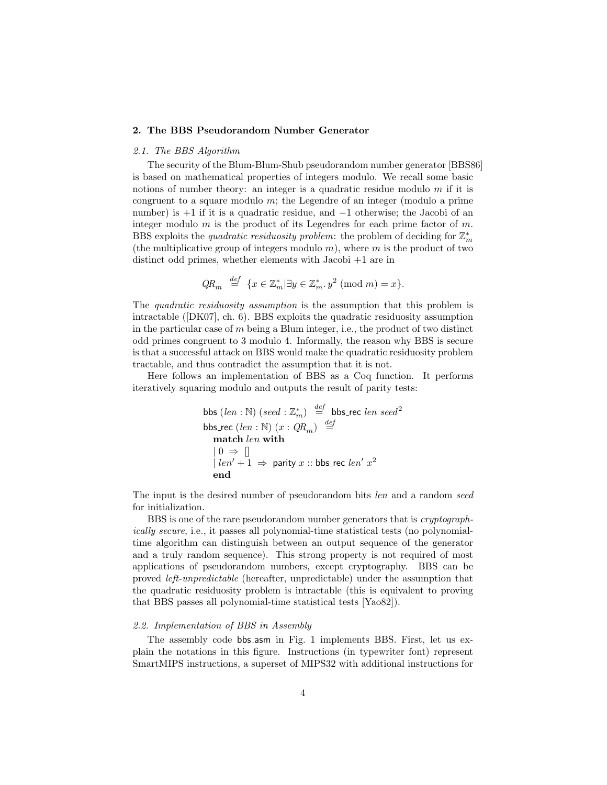# 2. The BBS Pseudorandom Number Generator

def

# 2.1. The BBS Algorithm

The security of the Blum-Blum-Shub pseudorandom number generator [BBS86] is based on mathematical properties of integers modulo. We recall some basic notions of number theory: an integer is a quadratic residue modulo m if it is congruent to a square modulo m; the Legendre of an integer (modulo a prime number) is +1 if it is a quadratic residue, and −1 otherwise; the Jacobi of an integer modulo  $m$  is the product of its Legendres for each prime factor of  $m$ . BBS exploits the *quadratic residuosity problem*: the problem of deciding for  $\mathbb{Z}_m^*$ (the multiplicative group of integers modulo  $m$ ), where  $m$  is the product of two distinct odd primes, whether elements with Jacobi +1 are in

$$
QR_m \stackrel{def}{=} \{x \in \mathbb{Z}_m^* | \exists y \in \mathbb{Z}_m^*, y^2 \pmod{m} = x\}.
$$

The *quadratic residuosity assumption* is the assumption that this problem is intractable ([DK07], ch. 6). BBS exploits the quadratic residuosity assumption in the particular case of  $m$  being a Blum integer, i.e., the product of two distinct odd primes congruent to 3 modulo 4. Informally, the reason why BBS is secure is that a successful attack on BBS would make the quadratic residuosity problem tractable, and thus contradict the assumption that it is not.

Here follows an implementation of BBS as a Coq function. It performs iteratively squaring modulo and outputs the result of parity tests:

\n
$$
\text{bbs} \left( \text{len} : \mathbb{N} \right) \left( \text{seed} : \mathbb{Z}_m^* \right) \stackrel{\text{def}}{=} \text{bbs\_rec} \text{ len } \text{seed}^2
$$
\n

\n\n $\text{bbs\_rec} \left( \text{len} : \mathbb{N} \right) \left( x : \text{QR}_m \right) \stackrel{\text{def}}{=} \text{match} \text{ len } \text{with}$ \n

\n\n $\begin{bmatrix}\n 0 & \Rightarrow \end{bmatrix}$ \n

\n\n $\begin{bmatrix}\n \text{len'} + 1 \Rightarrow \text{parity } x :: \text{bbs\_rec} \text{ len'} \text{ } x^2 \\
 \text{end}\n \end{bmatrix}$ \n

The input is the desired number of pseudorandom bits len and a random seed for initialization.

BBS is one of the rare pseudorandom number generators that is *cryptograph*ically secure, i.e., it passes all polynomial-time statistical tests (no polynomialtime algorithm can distinguish between an output sequence of the generator and a truly random sequence). This strong property is not required of most applications of pseudorandom numbers, except cryptography. BBS can be proved left-unpredictable (hereafter, unpredictable) under the assumption that the quadratic residuosity problem is intractable (this is equivalent to proving that BBS passes all polynomial-time statistical tests [Yao82]).

# 2.2. Implementation of BBS in Assembly

The assembly code bbs\_asm in Fig. 1 implements BBS. First, let us explain the notations in this figure. Instructions (in typewriter font) represent SmartMIPS instructions, a superset of MIPS32 with additional instructions for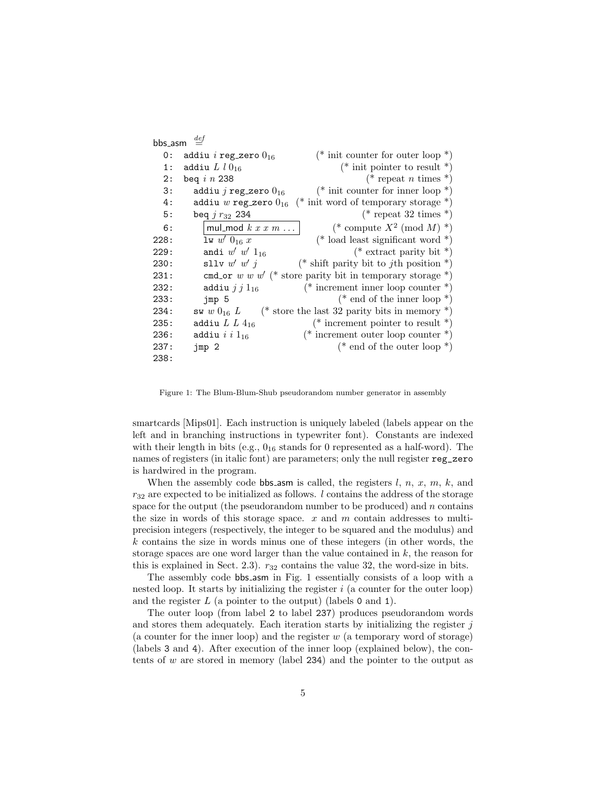| bbs_asm | $\stackrel{def}{=}$              |                                                             |  |
|---------|----------------------------------|-------------------------------------------------------------|--|
| 0:      | addiu <i>i</i> reg_zero $0_{16}$ | (* init counter for outer loop *)                           |  |
| 1:      | addiu $L l 0_{16}$               | (* init pointer to result *)                                |  |
| 2:      | beq $i$ n 238                    | (* repeat <i>n</i> times *)                                 |  |
| 3:      | addiu <i>j</i> reg_zero $0_{16}$ | (* init counter for inner loop *)                           |  |
| 4:      | addiu w reg_zero $0_{16}$        | (* init word of temporary storage *)                        |  |
| 5:      | beg $i r_{32} 234$               | (* repeat 32 times *)                                       |  |
| 6:      | mul_mod $k x x m \ldots$         | (* compute $X^2 \pmod{M}$ *)                                |  |
| 228:    | $1w \, w' \, 0_{16} \, x$        | (* load least significant word *)                           |  |
| 229:    | andi $w'$ $w'$ $1_{16}$          | (* extract parity bit *)                                    |  |
| 230:    | sllv $w'$ $w'$ $j$               | (* shift parity bit to jth position *)                      |  |
| 231:    |                                  | cmd_or w w $w'$ (* store parity bit in temporary storage *) |  |
| 232:    | addiu $j$ $j$ $1_{16}$           | (* increment inner loop counter *)                          |  |
| 233:    | jmp 5                            | (* end of the inner loop *)                                 |  |
| 234:    | sw $w$ $0_{16}$ $L$              | (* store the last 32 parity bits in memory *)               |  |
| 235:    | addiu $L L 4_{16}$               | (* increment pointer to result *)                           |  |
| 236:    | addiu $i$ i $1_{16}$             | (* increment outer loop counter *)                          |  |
| 237:    | jmp 2                            | (* end of the outer loop *)                                 |  |
| 238:    |                                  |                                                             |  |

Figure 1: The Blum-Blum-Shub pseudorandom number generator in assembly

smartcards [Mips01]. Each instruction is uniquely labeled (labels appear on the left and in branching instructions in typewriter font). Constants are indexed with their length in bits (e.g.,  $0_{16}$  stands for 0 represented as a half-word). The names of registers (in italic font) are parameters; only the null register reg\_zero is hardwired in the program.

When the assembly code bbs asm is called, the registers  $l, n, x, m, k$ , and  $r_{32}$  are expected to be initialized as follows. *l* contains the address of the storage space for the output (the pseudorandom number to be produced) and  $n$  contains the size in words of this storage space.  $x$  and  $m$  contain addresses to multiprecision integers (respectively, the integer to be squared and the modulus) and k contains the size in words minus one of these integers (in other words, the storage spaces are one word larger than the value contained in  $k$ , the reason for this is explained in Sect. 2.3).  $r_{32}$  contains the value 32, the word-size in bits.

The assembly code bbs asm in Fig. 1 essentially consists of a loop with a nested loop. It starts by initializing the register  $i$  (a counter for the outer loop) and the register  $L$  (a pointer to the output) (labels 0 and 1).

The outer loop (from label 2 to label 237) produces pseudorandom words and stores them adequately. Each iteration starts by initializing the register  $j$ (a counter for the inner loop) and the register  $w$  (a temporary word of storage) (labels 3 and 4). After execution of the inner loop (explained below), the contents of  $w$  are stored in memory (label 234) and the pointer to the output as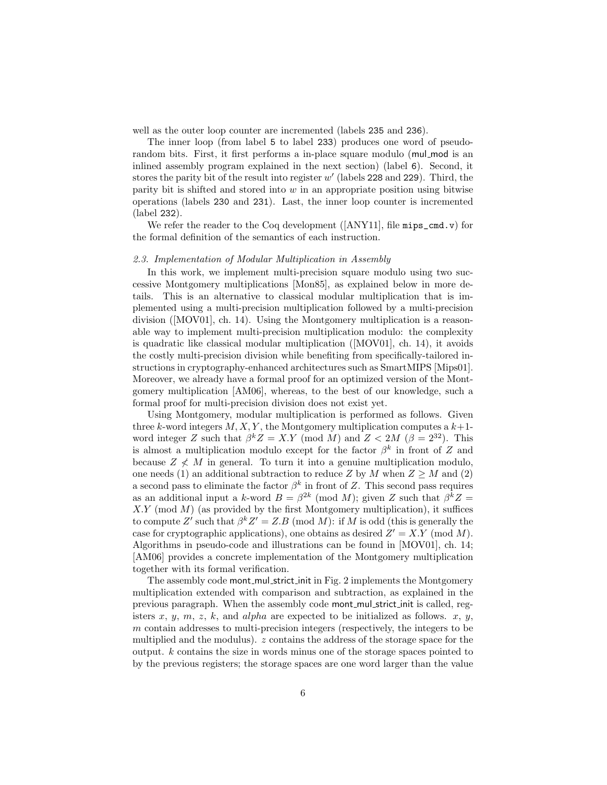well as the outer loop counter are incremented (labels 235 and 236).

The inner loop (from label 5 to label 233) produces one word of pseudorandom bits. First, it first performs a in-place square modulo (mul mod is an inlined assembly program explained in the next section) (label 6). Second, it stores the parity bit of the result into register  $w'$  (labels 228 and 229). Third, the parity bit is shifted and stored into  $w$  in an appropriate position using bitwise operations (labels 230 and 231). Last, the inner loop counter is incremented (label 232).

We refer the reader to the Coq development ( $[ANY11]$ , file mips\_cmd.v) for the formal definition of the semantics of each instruction.

#### 2.3. Implementation of Modular Multiplication in Assembly

In this work, we implement multi-precision square modulo using two successive Montgomery multiplications [Mon85], as explained below in more details. This is an alternative to classical modular multiplication that is implemented using a multi-precision multiplication followed by a multi-precision division ([MOV01], ch. 14). Using the Montgomery multiplication is a reasonable way to implement multi-precision multiplication modulo: the complexity is quadratic like classical modular multiplication ([MOV01], ch. 14), it avoids the costly multi-precision division while benefiting from specifically-tailored instructions in cryptography-enhanced architectures such as SmartMIPS [Mips01]. Moreover, we already have a formal proof for an optimized version of the Montgomery multiplication [AM06], whereas, to the best of our knowledge, such a formal proof for multi-precision division does not exist yet.

Using Montgomery, modular multiplication is performed as follows. Given three k-word integers  $M, X, Y$ , the Montgomery multiplication computes a  $k+1$ word integer Z such that  $\beta^k Z = X.Y \pmod{M}$  and  $Z < 2M \ (\beta = 2^{32})$ . This is almost a multiplication modulo except for the factor  $\beta^k$  in front of Z and because  $Z \nless M$  in general. To turn it into a genuine multiplication modulo, one needs (1) an additional subtraction to reduce Z by M when  $Z \geq M$  and (2) a second pass to eliminate the factor  $\beta^k$  in front of Z. This second pass requires as an additional input a k-word  $B = \beta^{2k} \pmod{M}$ ; given Z such that  $\beta^k Z =$  $X.Y$  (mod  $M$ ) (as provided by the first Montgomery multiplication), it suffices to compute Z' such that  $\beta^{k} Z' = Z.B \pmod{M}$ : if M is odd (this is generally the case for cryptographic applications), one obtains as desired  $Z' = X.Y \pmod{M}$ . Algorithms in pseudo-code and illustrations can be found in [MOV01], ch. 14; [AM06] provides a concrete implementation of the Montgomery multiplication together with its formal verification.

The assembly code mont\_mul\_strict\_init in Fig. 2 implements the Montgomery multiplication extended with comparison and subtraction, as explained in the previous paragraph. When the assembly code mont mul strict init is called, registers x, y, m, z, k, and alpha are expected to be initialized as follows. x, y, m contain addresses to multi-precision integers (respectively, the integers to be multiplied and the modulus).  $z$  contains the address of the storage space for the output. k contains the size in words minus one of the storage spaces pointed to by the previous registers; the storage spaces are one word larger than the value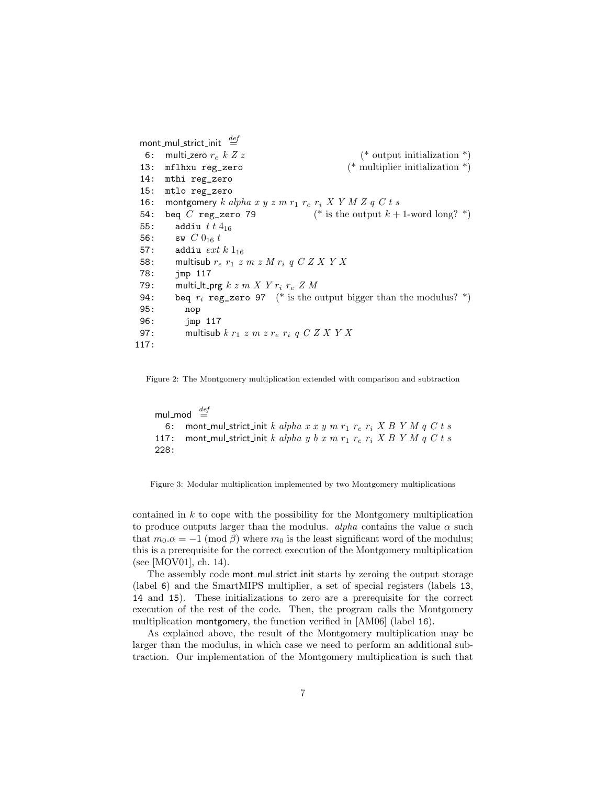```
mont_mul_strict_init \stackrel{def}{=}6: multi_zero r_e k Z z (<sup>*</sup> output initialization ^*)
 13: mflhxu reg_zero (* multiplier initialization *)
 14: mthi reg_zero
 15: mtlo reg_zero
 16: montgomery k alpha x y z m r_1 r_e r_i X Y M Z q C t s54: beq C reg_zero 79 (* is the output k + 1-word long? *)
 55: addiu t \; t \; 4_{16}56: sw C\ 0_{16} t57: addiu ext k 1_{16}58: multisub r_e r_1 z m z M r_i q C Z X Y X78: jmp 117
 79: multi_lt_prg k \, z \, m \, X \, Y \, r_i \, r_e \, Z \, M94: beq r_i reg_zero 97 (* is the output bigger than the modulus? *)
 95: nop
 96: jmp 117
97: multisub k r_1 z m z r_e r_i q C Z X Y X117:
```
Figure 2: The Montgomery multiplication extended with comparison and subtraction

```
mul_mod \stackrel{def}{=}6: mont_mul_strict_init k alpha x x y m r_1 r_e r_i X B Y M q C t s
117: mont_mul_strict_init k alpha y b x m r_1 r_e r_i X B Y M q C t s228:
```
Figure 3: Modular multiplication implemented by two Montgomery multiplications

contained in k to cope with the possibility for the Montgomery multiplication to produce outputs larger than the modulus. alpha contains the value  $\alpha$  such that  $m_0 \alpha = -1 \pmod{\beta}$  where  $m_0$  is the least significant word of the modulus; this is a prerequisite for the correct execution of the Montgomery multiplication (see [MOV01], ch. 14).

The assembly code mont\_mul\_strict\_init starts by zeroing the output storage (label 6) and the SmartMIPS multiplier, a set of special registers (labels 13, 14 and 15). These initializations to zero are a prerequisite for the correct execution of the rest of the code. Then, the program calls the Montgomery multiplication montgomery, the function verified in [AM06] (label 16).

As explained above, the result of the Montgomery multiplication may be larger than the modulus, in which case we need to perform an additional subtraction. Our implementation of the Montgomery multiplication is such that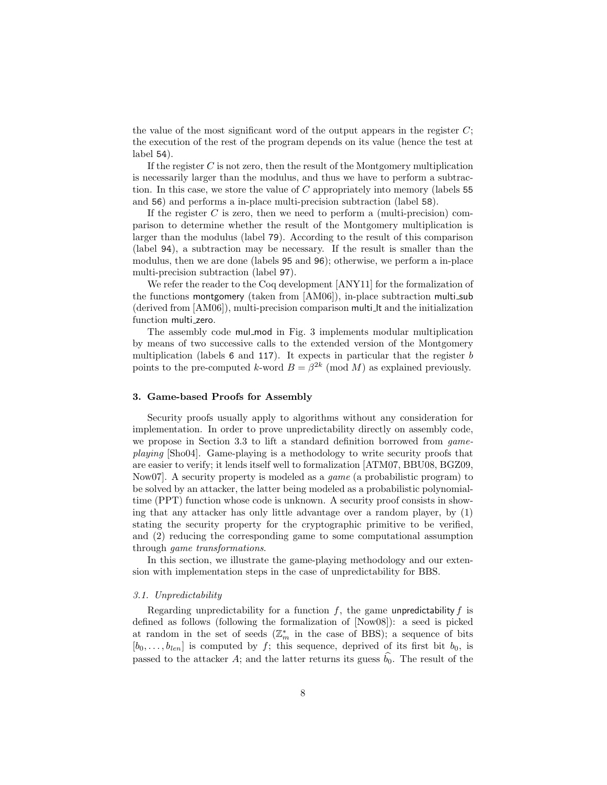the value of the most significant word of the output appears in the register  $C$ ; the execution of the rest of the program depends on its value (hence the test at label 54).

If the register  $C$  is not zero, then the result of the Montgomery multiplication is necessarily larger than the modulus, and thus we have to perform a subtraction. In this case, we store the value of  $C$  appropriately into memory (labels  $55$ and 56) and performs a in-place multi-precision subtraction (label 58).

If the register  $C$  is zero, then we need to perform a (multi-precision) comparison to determine whether the result of the Montgomery multiplication is larger than the modulus (label 79). According to the result of this comparison (label 94), a subtraction may be necessary. If the result is smaller than the modulus, then we are done (labels 95 and 96); otherwise, we perform a in-place multi-precision subtraction (label 97).

We refer the reader to the Coq development [ANY11] for the formalization of the functions montgomery (taken from [AM06]), in-place subtraction multi sub (derived from [AM06]), multi-precision comparison multi lt and the initialization function multi\_zero.

The assembly code mul mod in Fig. 3 implements modular multiplication by means of two successive calls to the extended version of the Montgomery multiplication (labels  $6$  and 117). It expects in particular that the register  $b$ points to the pre-computed k-word  $B = \beta^{2k} \pmod{M}$  as explained previously.

# 3. Game-based Proofs for Assembly

Security proofs usually apply to algorithms without any consideration for implementation. In order to prove unpredictability directly on assembly code, we propose in Section 3.3 to lift a standard definition borrowed from gameplaying [Sho04]. Game-playing is a methodology to write security proofs that are easier to verify; it lends itself well to formalization [ATM07, BBU08, BGZ09, Now07]. A security property is modeled as a game (a probabilistic program) to be solved by an attacker, the latter being modeled as a probabilistic polynomialtime (PPT) function whose code is unknown. A security proof consists in showing that any attacker has only little advantage over a random player, by  $(1)$ stating the security property for the cryptographic primitive to be verified, and (2) reducing the corresponding game to some computational assumption through game transformations.

In this section, we illustrate the game-playing methodology and our extension with implementation steps in the case of unpredictability for BBS.

#### 3.1. Unpredictability

Regarding unpredictability for a function  $f$ , the game unpredictability  $f$  is defined as follows (following the formalization of [Now08]): a seed is picked at random in the set of seeds  $(\mathbb{Z}_m^*$  in the case of BBS); a sequence of bits  $[b_0, \ldots, b_{\ell n}]$  is computed by f; this sequence, deprived of its first bit  $b_0$ , is passed to the attacker A; and the latter returns its guess  $\hat{b}_0$ . The result of the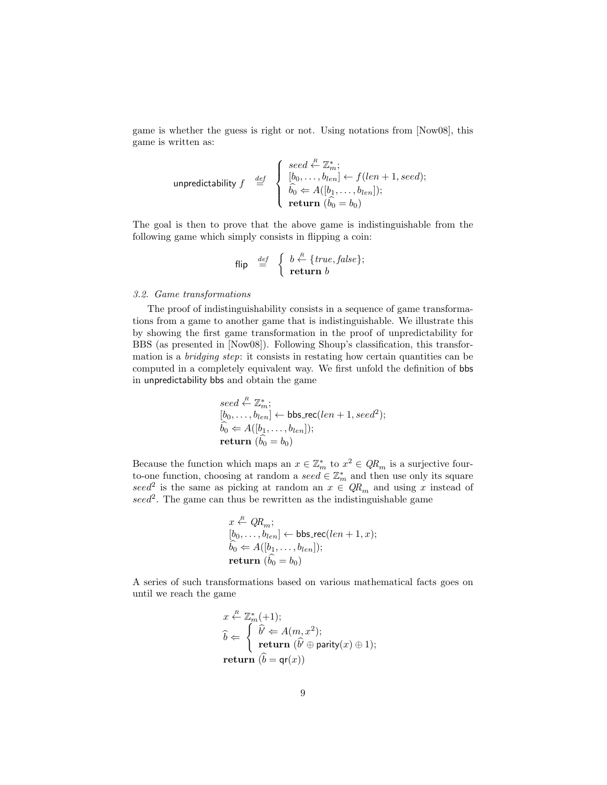game is whether the guess is right or not. Using notations from [Now08], this game is written as:

$$
\text{unpredictability } f \stackrel{\text{def}}{=} \begin{cases} \begin{array}{ll} \text{seed} \stackrel{R}{\leftarrow} \mathbb{Z}_m^*; \\ \begin{bmatrix} b_0, \ldots, b_{len} \end{bmatrix} \leftarrow f(len+1, seed); \\ \hat{b_0} \leftarrow A([b_1, \ldots, b_{len}]); \\ \text{return } (\hat{b_0} = b_0) \end{array} \end{cases}
$$

The goal is then to prove that the above game is indistinguishable from the following game which simply consists in flipping a coin:

$$
flip \stackrel{def}{=} \left\{ \begin{array}{l} b \stackrel{R}{\leftarrow} \{ true, false \}; \\ \textbf{return } b \end{array} \right.
$$

## 3.2. Game transformations

The proof of indistinguishability consists in a sequence of game transformations from a game to another game that is indistinguishable. We illustrate this by showing the first game transformation in the proof of unpredictability for BBS (as presented in [Now08]). Following Shoup's classification, this transformation is a bridging step: it consists in restating how certain quantities can be computed in a completely equivalent way. We first unfold the definition of bbs in unpredictability bbs and obtain the game

$$
\begin{array}{l}\n\sec d \stackrel{R}{\leftarrow} \mathbb{Z}_m^*; \\
[b_0, \ldots, b_{len}] \leftarrow \text{bbs\_rec}(len + 1, seed^2); \\
\widehat{b_0} \leftarrow A([b_1, \ldots, b_{len}]); \\
\text{return } (\widehat{b_0} = b_0)\n\end{array}
$$

Because the function which maps an  $x \in \mathbb{Z}_m^*$  to  $x^2 \in QR_m$  is a surjective fourto-one function, choosing at random a  $seed \in \mathbb{Z}_m^*$  and then use only its square seed<sup>2</sup> is the same as picking at random an  $x \in QR_m$  and using x instead of  $seed<sup>2</sup>$ . The game can thus be rewritten as the indistinguishable game

$$
x \stackrel{R}{\leftarrow} QR_m;
$$
  
\n
$$
[b_0, \dots, b_{len}] \leftarrow \text{bbs\_rec}(len + 1, x);
$$
  
\n
$$
\widehat{b_0} \leftarrow A([b_1, \dots, b_{len}]);
$$
  
\nreturn  $(\widehat{b_0} = b_0)$ 

A series of such transformations based on various mathematical facts goes on until we reach the game

$$
\begin{array}{l} x \stackrel{P}{\leftarrow} \mathbb{Z}_m^*(+1);\\ \widehat{b} \Leftarrow \left\{ \begin{array}{l} \widehat{b}' \Leftarrow A(m,x^2);\\ \mathrm{\bf return } \ (\widehat{b}' \oplus \mathrm{parity}(x) \oplus 1);\\ \mathrm{\bf return } \ (\widehat{b} = \mathrm{qr}(x)) \end{array} \right. \end{array}
$$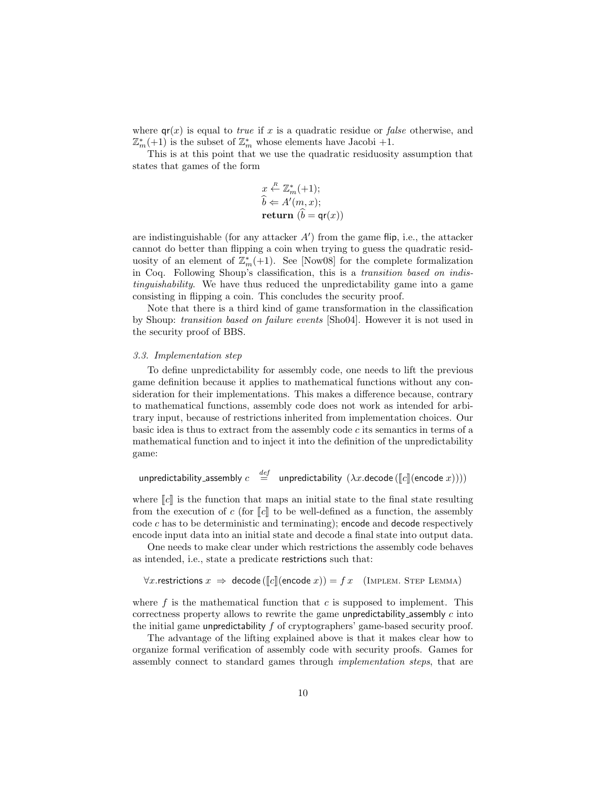where  $\mathsf{qr}(x)$  is equal to *true* if x is a quadratic residue or *false* otherwise, and  $\mathbb{Z}_m^*(+1)$  is the subset of  $\mathbb{Z}_m^*$  whose elements have Jacobi +1.

This is at this point that we use the quadratic residuosity assumption that states that games of the form

$$
x \stackrel{R}{\leftarrow} \mathbb{Z}_m^*(+1);
$$
  

$$
\hat{b} \in A'(m, x);
$$
  
return 
$$
(\hat{b} = \text{qr}(x))
$$

are indistinguishable (for any attacker  $A'$ ) from the game flip, i.e., the attacker cannot do better than flipping a coin when trying to guess the quadratic residuosity of an element of  $\mathbb{Z}_m^*(+1)$ . See [Now08] for the complete formalization in Coq. Following Shoup's classification, this is a transition based on indistinguishability. We have thus reduced the unpredictability game into a game consisting in flipping a coin. This concludes the security proof.

Note that there is a third kind of game transformation in the classification by Shoup: transition based on failure events [Sho04]. However it is not used in the security proof of BBS.

# 3.3. Implementation step

To define unpredictability for assembly code, one needs to lift the previous game definition because it applies to mathematical functions without any consideration for their implementations. This makes a difference because, contrary to mathematical functions, assembly code does not work as intended for arbitrary input, because of restrictions inherited from implementation choices. Our basic idea is thus to extract from the assembly code  $c$  its semantics in terms of a mathematical function and to inject it into the definition of the unpredictability game:

unpredictability\_assembly  $c \stackrel{def}{=}$  unpredictability  $(\lambda x.\text{decode} ([c]](\text{encode } x))))$ 

where  $\llbracket c \rrbracket$  is the function that maps an initial state to the final state resulting from the execution of c (for  $\llbracket c \rrbracket$  to be well-defined as a function, the assembly  $code c$  has to be deterministic and terminating); encode and decode respectively encode input data into an initial state and decode a final state into output data.

One needs to make clear under which restrictions the assembly code behaves as intended, i.e., state a predicate restrictions such that:

```
\forall x.restrictions x \Rightarrow decode ([[c][(encode x)) = f x (IMPLEM. STEP LEMMA)
```
where  $f$  is the mathematical function that c is supposed to implement. This correctness property allows to rewrite the game unpredictability assembly  $c$  into the initial game unpredictability  $f$  of cryptographers' game-based security proof.

The advantage of the lifting explained above is that it makes clear how to organize formal verification of assembly code with security proofs. Games for assembly connect to standard games through implementation steps, that are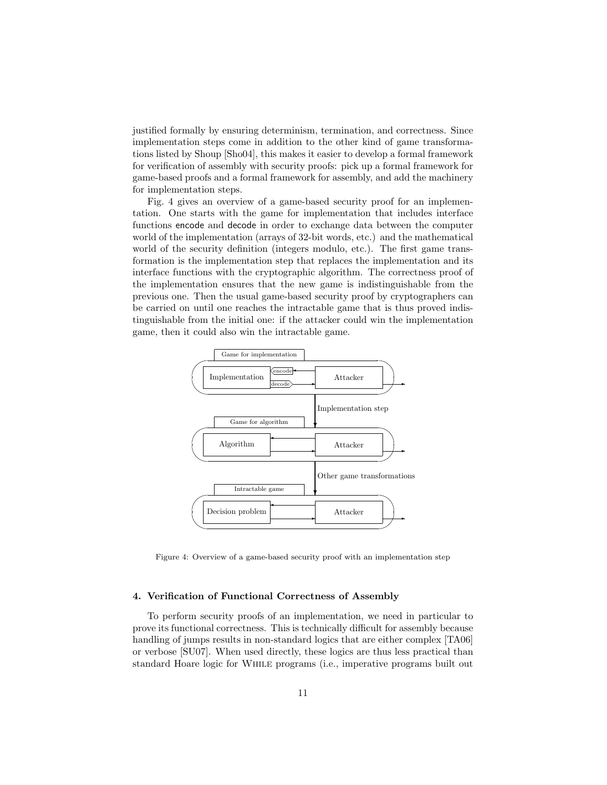justified formally by ensuring determinism, termination, and correctness. Since implementation steps come in addition to the other kind of game transformations listed by Shoup [Sho04], this makes it easier to develop a formal framework for verification of assembly with security proofs: pick up a formal framework for game-based proofs and a formal framework for assembly, and add the machinery for implementation steps.

Fig. 4 gives an overview of a game-based security proof for an implementation. One starts with the game for implementation that includes interface functions encode and decode in order to exchange data between the computer world of the implementation (arrays of 32-bit words, etc.) and the mathematical world of the security definition (integers modulo, etc.). The first game transformation is the implementation step that replaces the implementation and its interface functions with the cryptographic algorithm. The correctness proof of the implementation ensures that the new game is indistinguishable from the previous one. Then the usual game-based security proof by cryptographers can be carried on until one reaches the intractable game that is thus proved indistinguishable from the initial one: if the attacker could win the implementation game, then it could also win the intractable game.



Figure 4: Overview of a game-based security proof with an implementation step

## 4. Verification of Functional Correctness of Assembly

To perform security proofs of an implementation, we need in particular to prove its functional correctness. This is technically difficult for assembly because handling of jumps results in non-standard logics that are either complex [TA06] or verbose [SU07]. When used directly, these logics are thus less practical than standard Hoare logic for While programs (i.e., imperative programs built out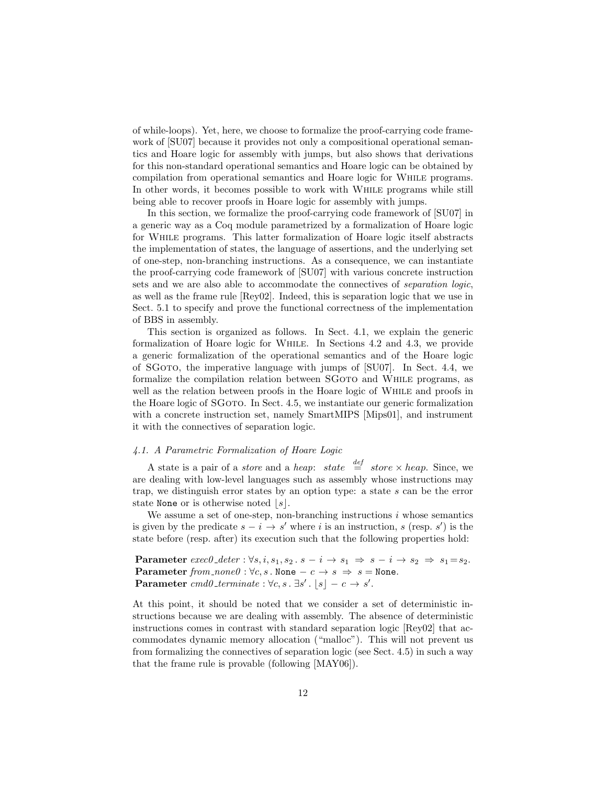of while-loops). Yet, here, we choose to formalize the proof-carrying code framework of [SU07] because it provides not only a compositional operational semantics and Hoare logic for assembly with jumps, but also shows that derivations for this non-standard operational semantics and Hoare logic can be obtained by compilation from operational semantics and Hoare logic for While programs. In other words, it becomes possible to work with While programs while still being able to recover proofs in Hoare logic for assembly with jumps.

In this section, we formalize the proof-carrying code framework of [SU07] in a generic way as a Coq module parametrized by a formalization of Hoare logic for While programs. This latter formalization of Hoare logic itself abstracts the implementation of states, the language of assertions, and the underlying set of one-step, non-branching instructions. As a consequence, we can instantiate the proof-carrying code framework of [SU07] with various concrete instruction sets and we are also able to accommodate the connectives of separation logic, as well as the frame rule [Rey02]. Indeed, this is separation logic that we use in Sect. 5.1 to specify and prove the functional correctness of the implementation of BBS in assembly.

This section is organized as follows. In Sect. 4.1, we explain the generic formalization of Hoare logic for While. In Sections 4.2 and 4.3, we provide a generic formalization of the operational semantics and of the Hoare logic of SGoto, the imperative language with jumps of [SU07]. In Sect. 4.4, we formalize the compilation relation between SGOTO and WHILE programs, as well as the relation between proofs in the Hoare logic of While and proofs in the Hoare logic of SGOTO. In Sect. 4.5, we instantiate our generic formalization with a concrete instruction set, namely SmartMIPS [Mips01], and instrument it with the connectives of separation logic.

## 4.1. A Parametric Formalization of Hoare Logic

A state is a pair of a *store* and a *heap*: *state*  $\stackrel{def}{=}$  *store*  $\times$  *heap*. Since, we are dealing with low-level languages such as assembly whose instructions may trap, we distinguish error states by an option type: a state s can be the error state None or is otherwise noted  $|s|$ .

We assume a set of one-step, non-branching instructions  $i$  whose semantics is given by the predicate  $s - i \rightarrow s'$  where i is an instruction, s (resp. s') is the state before (resp. after) its execution such that the following properties hold:

**Parameter** exec $0$  deter :  $\forall s, i, s_1, s_2 \dots s - i \rightarrow s_1 \Rightarrow s - i \rightarrow s_2 \Rightarrow s_1 = s_2$ . **Parameter** from \_none $\theta$  :  $\forall c, s$ . None  $-c \rightarrow s \Rightarrow s =$  None. **Parameter** cmd0\_terminate :  $\forall c, s \in \exists s'$ .  $[s] - c \rightarrow s'$ .

At this point, it should be noted that we consider a set of deterministic instructions because we are dealing with assembly. The absence of deterministic instructions comes in contrast with standard separation logic  $[Rey02]$  that accommodates dynamic memory allocation ("malloc"). This will not prevent us from formalizing the connectives of separation logic (see Sect. 4.5) in such a way that the frame rule is provable (following [MAY06]).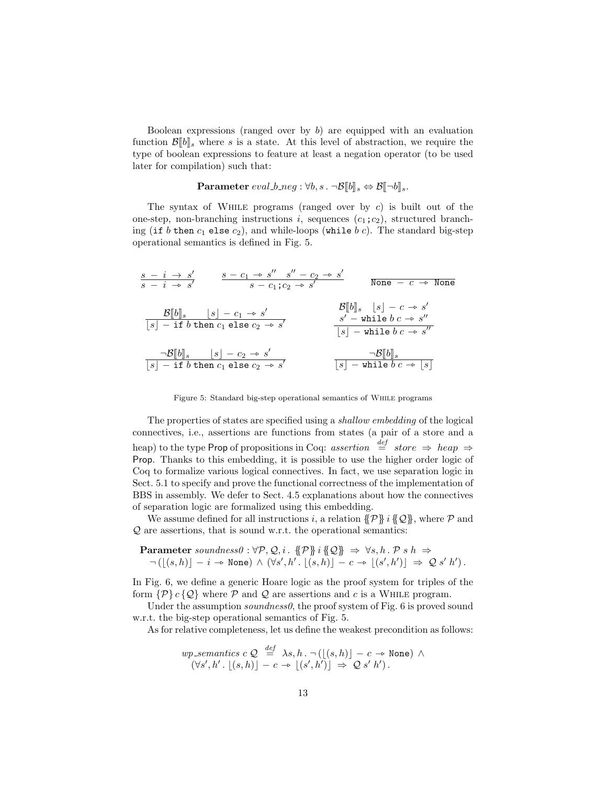Boolean expressions (ranged over by  $b$ ) are equipped with an evaluation function  $\mathcal{B}[b]_s$  where s is a state. At this level of abstraction, we require the type of boolean expressions to feature at least a negation operator (to be used later for compilation) such that:

# **Parameter** eval  $b$  neg :  $\forall b, s$ .  $\neg B \llbracket b \rrbracket_s \Leftrightarrow B \llbracket \neg b \rrbracket_s$ .

The syntax of WHILE programs (ranged over by  $c$ ) is built out of the one-step, non-branching instructions i, sequences  $(c_1;c_2)$ , structured branching (if b then  $c_1$  else  $c_2$ ), and while-loops (while b c). The standard big-step operational semantics is defined in Fig. 5.

| $\frac{s-c_1 \to s'' \quad s'' - c_2 \to s'}{s - c_1; c_2 \to s'}$<br>$\frac{s-i\;\rightarrow\;s'}{s\;-i\;\rightarrow\;s'}$                | None $- c \rightarrow$ None                                                                                                |
|--------------------------------------------------------------------------------------------------------------------------------------------|----------------------------------------------------------------------------------------------------------------------------|
| $\mathcal{B}[[b]]_s$ $[s] - c_1 \rightarrow s'$<br>$\overline{ s }$ - if b then $c_1$ else $c_2 \rightarrow s'$                            | $\mathcal{B}[[b]]_s$ $[s] - c \rightarrow s'$<br>$s'$ – while $b c \rightarrow s''$<br>$ s $ – while $b c \rightarrow s''$ |
| $\neg \mathcal{B}[[b]]_s$ $[s] - c_2 \rightarrow s'$<br>$\overline{ s  - \text{if } b \text{ then } c_1 \text{ else } c_2 \rightarrow s'}$ | $\neg \mathcal{B}   b  _s$<br>$ s $ – while $b c \rightarrow  s $                                                          |

Figure 5: Standard big-step operational semantics of While programs

The properties of states are specified using a shallow embedding of the logical connectives, i.e., assertions are functions from states (a pair of a store and a heap) to the type Prop of propositions in Coq: assertion  $\stackrel{def}{=} store \Rightarrow heap \Rightarrow$ Prop. Thanks to this embedding, it is possible to use the higher order logic of Coq to formalize various logical connectives. In fact, we use separation logic in Sect. 5.1 to specify and prove the functional correctness of the implementation of BBS in assembly. We defer to Sect. 4.5 explanations about how the connectives of separation logic are formalized using this embedding.

We assume defined for all instructions i, a relation  ${P}$  if  ${Q}$ , where P and  $\mathcal{Q}$  are assertions, that is sound w.r.t. the operational semantics:

**Parameter** soundness
$$
0: \forall P, Q, i. \{\{P\} \} i. \{\{Q\} \} \Rightarrow \forall s, h. P \ s \ h \Rightarrow \neg ([(s,h)] - i \rightarrow \text{None}) \land (\forall s', h'. \lfloor (s,h) \rfloor - c \rightarrow \lfloor (s',h') \rfloor \Rightarrow Q \ s' \ h').
$$

In Fig. 6, we define a generic Hoare logic as the proof system for triples of the form  $\{\mathcal{P}\}\,c\{\mathcal{Q}\}\,$  where  $\mathcal P$  and  $\mathcal Q$  are assertions and  $c$  is a WHILE program.

Under the assumption *soundness0*, the proof system of Fig. 6 is proved sound w.r.t. the big-step operational semantics of Fig. 5.

As for relative completeness, let us define the weakest precondition as follows:

$$
\textit{wp\_semantics } c \mathcal{Q} \stackrel{\textit{def}}{=} \lambda s, h. \neg \left( \lfloor (s, h) \rfloor - c \rightarrow \text{None} \right) \land \left( \forall s', h' \right. \lfloor (s, h) \rfloor - c \rightarrow \lfloor (s', h') \rfloor \Rightarrow \mathcal{Q} \ s' \ h' \right).
$$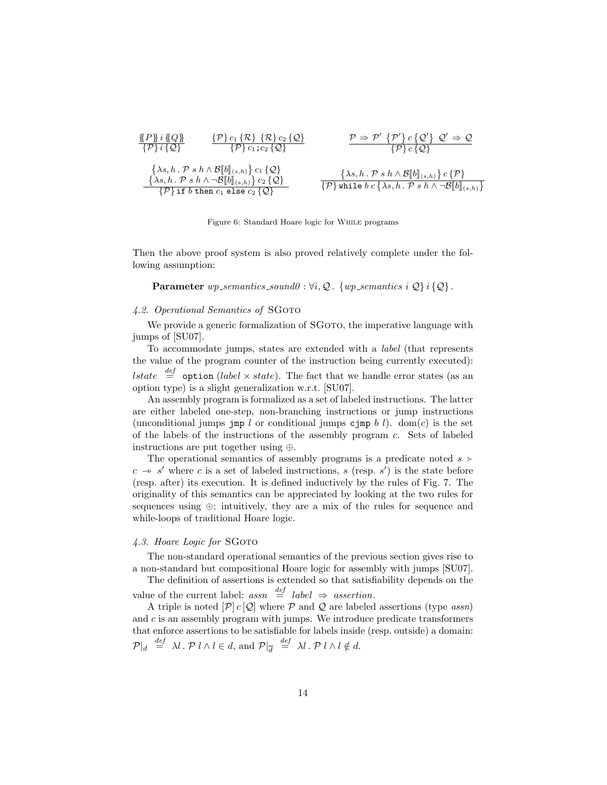$$
\frac{\{P\}i \{Q\}}{\{P\}i \{Q\}} \qquad \frac{\{P\}c_1 \{R\} \{R\}c_2 \{Q\}}{\{P\}c_1;c_2 \{Q\}} \qquad \frac{P \Rightarrow P' \{P'\}c \{Q'\} Q' \Rightarrow Q}{\{P\}c \{Q\}}
$$
\n
$$
\frac{\{\lambda s, h. \mathcal{P} s h \land \mathcal{B}[b]_{(s,h)}\}c_1 \{Q\}}{\{\lambda s, h. \mathcal{P} s h \land \neg \mathcal{B}[b]_{(s,h)}\}c_2 \{Q\}} \qquad \frac{\{\lambda s, h. \mathcal{P} s h \land \mathcal{B}[b]_{(s,h)}\}c \{P\}}{\{P\} \text{while } b c \{\lambda s, h. \mathcal{P} s h \land \neg \mathcal{B}[b]_{(s,h)}\}}
$$



Then the above proof system is also proved relatively complete under the following assumption:

**Parameter** wp\_semantics\_sound0 :  $\forall i, Q$ . {wp\_semantics i  $Q$ } i { $Q$ }.

# 4.2. Operational Semantics of SGOTO

We provide a generic formalization of SGOTO, the imperative language with jumps of [SU07].

To accommodate jumps, states are extended with a label (that represents the value of the program counter of the instruction being currently executed): *lstate*  $\stackrel{def}{=}$  option (*label*  $\times$  *state*). The fact that we handle error states (as an option type) is a slight generalization w.r.t. [SU07].

An assembly program is formalized as a set of labeled instructions. The latter are either labeled one-step, non-branching instructions or jump instructions (unconditional jumps jmp l or conditional jumps cjmp b l). dom(c) is the set of the labels of the instructions of the assembly program c. Sets of labeled instructions are put together using ⊕.

The operational semantics of assembly programs is a predicate noted  $s \succ$  $c \rightarrow s'$  where c is a set of labeled instructions, s (resp. s') is the state before (resp. after) its execution. It is defined inductively by the rules of Fig. 7. The originality of this semantics can be appreciated by looking at the two rules for sequences using ⊕; intuitively, they are a mix of the rules for sequence and while-loops of traditional Hoare logic.

# 4.3. Hoare Logic for SGOTO

The non-standard operational semantics of the previous section gives rise to a non-standard but compositional Hoare logic for assembly with jumps [SU07].

The definition of assertions is extended so that satisfiability depends on the value of the current label:  $assn \stackrel{def}{=} label \Rightarrow assertion.$ 

A triple is noted  $[\mathcal{P}] c [\mathcal{Q}]$  where  $\mathcal P$  and  $\mathcal Q$  are labeled assertions (type assn) and  $c$  is an assembly program with jumps. We introduce predicate transformers that enforce assertions to be satisfiable for labels inside (resp. outside) a domain:  $\mathcal{P}|_d \stackrel{def}{=} \lambda l \cdot \mathcal{P} l \wedge l \in d$ , and  $\mathcal{P}|_{\overline{d}} \stackrel{def}{=} \lambda l \cdot \mathcal{P} l \wedge l \notin d$ .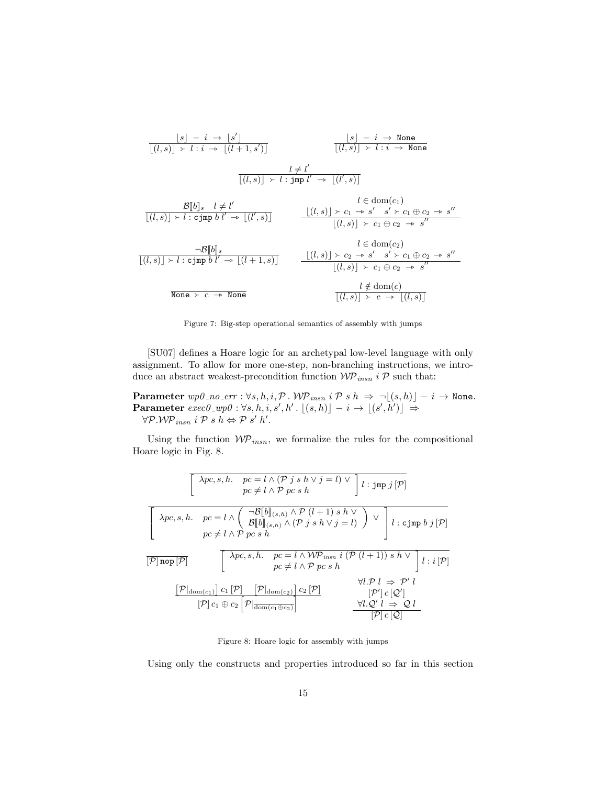| $\lfloor s \rfloor - i \rightarrow \lfloor s' \rfloor$                                                       | $\lfloor s \rfloor - i \rightarrow \text{None}$                                                            |
|--------------------------------------------------------------------------------------------------------------|------------------------------------------------------------------------------------------------------------|
| $\lfloor (l,s) \rfloor \rightarrow l : i \rightarrow \lfloor (l+1,s') \rfloor$                               | $\lfloor (l,s) \rfloor \rightarrow l : i \rightarrow \text{None}$                                          |
| $\frac{l \neq l'}{\lfloor (l,s) \rfloor \rightarrow l : j \text{mp } l' \rightarrow \lfloor (l',s) \rfloor}$ | $l \in \text{dom}(c_1)$                                                                                    |
| $\lfloor (l,s) \rfloor \rightarrow l : \text{cjmp } b \ l' \rightarrow \lfloor (l',s) \rfloor$               | $\lfloor (l,s) \rfloor \rightarrow c_1 \rightarrow s' \quad s' \rightarrow c_1 \oplus c_2 \rightarrow s''$ |
| $\neg \mathcal{B} \llbracket b \rrbracket_s$                                                                 | $\lfloor (l,s) \rfloor \rightarrow c_1 \oplus c_2 \rightarrow s''$                                         |
| $\neg \mathcal{B} \llbracket b \rrbracket_s$                                                                 | $\lfloor (l,s) \rfloor \rightarrow c_2 \rightarrow s' \quad s' \rightarrow c_1 \oplus c_2 \rightarrow s''$ |
| $\lfloor (l,s) \rfloor \rightarrow l : \text{cjmp } b \ l' \rightarrow \lfloor (l+1,s) \rfloor$              | $\lfloor (l,s) \rfloor \rightarrow c_2 \rightarrow s' \quad s' \rightarrow c_1 \oplus c_2 \rightarrow s''$ |
| $\text{None} \rightarrow c \rightarrow \text{None}$                                                          | $\lfloor (l,s) \rfloor \rightarrow c \rightarrow \lfloor (l,s) \rfloor$                                    |

Figure 7: Big-step operational semantics of assembly with jumps

[SU07] defines a Hoare logic for an archetypal low-level language with only assignment. To allow for more one-step, non-branching instructions, we introduce an abstract weakest-precondition function  $\mathcal{WP}_{insn}$   $i$   $\mathcal{P}$  such that:

**Parameter**  $wp0\_no\_err : \forall s, h, i, \mathcal{P}$  .  $\mathcal{WP}_{insn}$   $i \mathcal{P} s h \Rightarrow \neg \lfloor (s, h) \rfloor - i \rightarrow \mathbb{N}$ one. Parameter  $exec0_wp0: \forall s, h, i, s', h'$ .  $[(s, h)] - i \rightarrow [(s', h')] \Rightarrow$  $\forall P.WP_{insn}$  i P s  $h \Leftrightarrow P$  s'  $h'$ .

Using the function  $\mathcal{WP}_{insn}$ , we formalize the rules for the compositional Hoare logic in Fig. 8.

$$
\begin{bmatrix}\n\lambda pc, s, h. & pc = l \land (\mathcal{P} j s h \lor j = l) \lor \\
pc \neq l \land \mathcal{P} pc s h\n\end{bmatrix} l : \text{Jmp } j [\mathcal{P}]
$$
\n
$$
\begin{bmatrix}\n\lambda pc, s, h. & pc = l \land \left(\begin{array}{c}\n-\mathcal{B}[[b]]_{(s,h)} \land \mathcal{P}(l+1) s h \lor \\
\mathcal{B}[[b]]_{(s,h)} \land (\mathcal{P} j s h \lor j = l)\n\end{array}\right) \lor\n\end{bmatrix} l : \text{cJmp } b j [\mathcal{P}]
$$
\n
$$
pc \neq l \land \mathcal{P} pc s h
$$
\n
$$
\begin{bmatrix}\n\mathcal{P}]\text{nop} [\mathcal{P}]\n\end{bmatrix} \begin{bmatrix}\n\lambda pc, s, h. & pc = l \land \mathcal{W} \mathcal{P}_{insn} i (\mathcal{P}(l+1)) s h \lor \\
pc \neq l \land \mathcal{P} pc s h\n\end{bmatrix} l : i [\mathcal{P}]
$$
\n
$$
\begin{bmatrix}\n\mathcal{P}|\text{dom}(c_1)] c_1 [\mathcal{P}] \quad [\mathcal{P}|\text{dom}(c_2)] c_2 [\mathcal{P}] \quad \forall l, \mathcal{P}' \ l \Rightarrow \mathcal{P}' l \quad [\mathcal{P}'] c [\mathcal{Q}'] \quad \forall l, \mathcal{Q}' \ l \Rightarrow \mathcal{Q} l \quad [\mathcal{P}] c [\mathcal{Q}]\n\end{bmatrix}
$$

Figure 8: Hoare logic for assembly with jumps

Using only the constructs and properties introduced so far in this section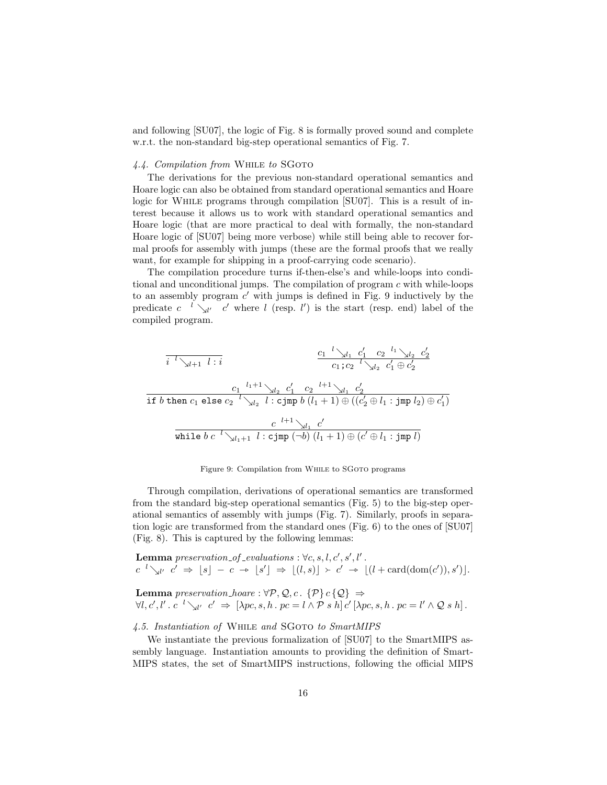and following [SU07], the logic of Fig. 8 is formally proved sound and complete w.r.t. the non-standard big-step operational semantics of Fig. 7.

# 4.4. Compilation from WHILE to SGOTO

The derivations for the previous non-standard operational semantics and Hoare logic can also be obtained from standard operational semantics and Hoare logic for While programs through compilation [SU07]. This is a result of interest because it allows us to work with standard operational semantics and Hoare logic (that are more practical to deal with formally, the non-standard Hoare logic of [SU07] being more verbose) while still being able to recover formal proofs for assembly with jumps (these are the formal proofs that we really want, for example for shipping in a proof-carrying code scenario).

The compilation procedure turns if-then-else's and while-loops into conditional and unconditional jumps. The compilation of program  $c$  with while-loops to an assembly program  $c'$  with jumps is defined in Fig. 9 inductively by the predicate  $c^{-l} \searrow_{l'} c'$  where l (resp. l') is the start (resp. end) label of the compiled program.

$$
\begin{array}{cc} \overline{i} & \xrightarrow{l_1} \overline{c_1} & \xrightarrow{c_1} \overline{c_2} & \xrightarrow{l_1} \overline{c_2} & \xrightarrow{l_2} c_2' \\ & & & c_1; c_2 & \xrightarrow{l_1} \overline{c_2} & \xrightarrow{l_2} c_1' \oplus c_2' \\ \end{array}
$$
\n
$$
\xrightarrow{c_1} \frac{l_1 + 1 \searrow_{l_2} c_1' \quad c_2 & l_1 + 1 \searrow_{l_1} c_2'}{l_1 \cdot \text{c_jmp } b (l_1 + 1) \oplus ((c_2' \oplus l_1 : \text{jmp } l_2) \oplus c_1')}
$$
\n
$$
\xrightarrow{c} \frac{c^{l_1 + 1} \searrow_{l_1} c'}{w \text{hile } b c \xrightarrow{l_1} \overline{c_1} \text{mp } (-b) (l_1 + 1) \oplus (c' \oplus l_1 : \text{jmp } l)} \end{array}
$$

#### Figure 9: Compilation from WHILE to SGOTO programs

Through compilation, derivations of operational semantics are transformed from the standard big-step operational semantics (Fig. 5) to the big-step operational semantics of assembly with jumps (Fig. 7). Similarly, proofs in separation logic are transformed from the standard ones (Fig. 6) to the ones of [SU07] (Fig. 8). This is captured by the following lemmas:

**Lemma** preservation\_of\_evaluations :  $\forall c, s, l, c', s', l'$ .  $c^l \searrow_{l'} c' \Rightarrow [s] - c \Rightarrow [s'] \Rightarrow [(l, s)] \succ c' \Rightarrow [(l + \text{card}(\text{dom}(c')), s')]$ .

Lemma preservation\_hoare :  $\forall \mathcal{P}, \mathcal{Q}, c$ .  $\{\mathcal{P}\} c \{\mathcal{Q}\} \Rightarrow$  $\forall l, c', l' \cdot c \quad l \searrow_{l'} c' \Rightarrow [\lambda pc, s, h \cdot pc = l \wedge \mathcal{P} \ s \ h] \ c' \ [\lambda pc, s, h \cdot pc = l' \wedge \mathcal{Q} \ s \ h]$ .

# 4.5. Instantiation of While and SGoto to SmartMIPS

We instantiate the previous formalization of [SU07] to the SmartMIPS assembly language. Instantiation amounts to providing the definition of Smart-MIPS states, the set of SmartMIPS instructions, following the official MIPS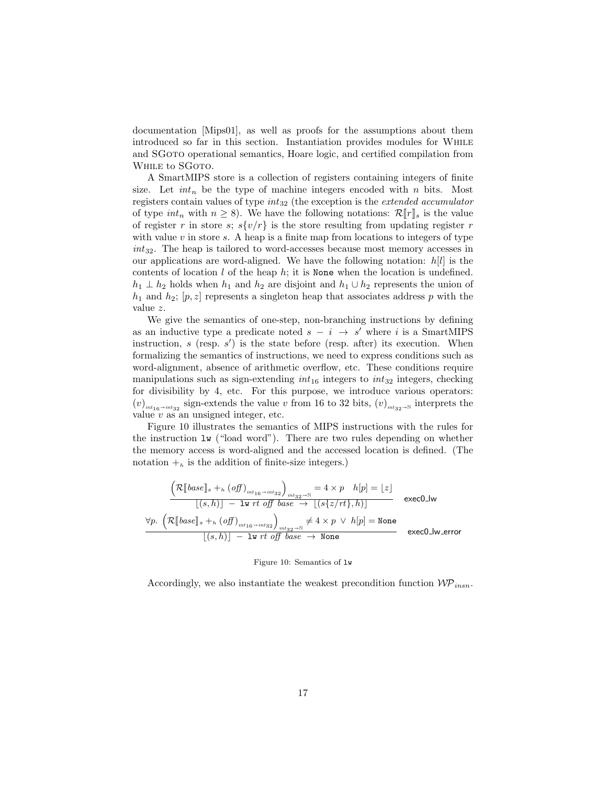documentation [Mips01], as well as proofs for the assumptions about them introduced so far in this section. Instantiation provides modules for While and SGoto operational semantics, Hoare logic, and certified compilation from WHILE to SGOTO.

A SmartMIPS store is a collection of registers containing integers of finite size. Let  $int_n$  be the type of machine integers encoded with n bits. Most registers contain values of type  $int_{32}$  (the exception is the *extended accumulator* of type  $int_n$  with  $n \ge 8$ ). We have the following notations:  $\mathcal{R}[[r]]_s$  is the value of register r in store s;  $s\{v/r\}$  is the store resulting from updating register r with value  $v$  in store  $s$ . A heap is a finite map from locations to integers of type  $int_{32}$ . The heap is tailored to word-accesses because most memory accesses in our applications are word-aligned. We have the following notation:  $h[l]$  is the contents of location  $l$  of the heap  $h$ ; it is None when the location is undefined.  $h_1 \perp h_2$  holds when  $h_1$  and  $h_2$  are disjoint and  $h_1 \cup h_2$  represents the union of  $h_1$  and  $h_2$ ;  $[p, z]$  represents a singleton heap that associates address p with the value z.

We give the semantics of one-step, non-branching instructions by defining as an inductive type a predicate noted  $s - i \rightarrow s'$  where i is a SmartMIPS instruction,  $s$  (resp.  $s'$ ) is the state before (resp. after) its execution. When formalizing the semantics of instructions, we need to express conditions such as word-alignment, absence of arithmetic overflow, etc. These conditions require manipulations such as sign-extending  $int_{16}$  integers to  $int_{32}$  integers, checking for divisibility by 4, etc. For this purpose, we introduce various operators:  $(v)_{i_{nt_{16}-int_{32}}}$  sign-extends the value v from 16 to 32 bits,  $(v)_{i_{nt_{32}}\to N}$  interprets the value  $v$  as an unsigned integer, etc.

Figure 10 illustrates the semantics of MIPS instructions with the rules for the instruction lw ("load word"). There are two rules depending on whether the memory access is word-aligned and the accessed location is defined. (The notation  $+_{h}$  is the addition of finite-size integers.)

$$
\underbrace{\left(\mathcal{R}[\text{base}]_{s} +_{h} (\text{off})_{\text{int}_{16} \to \text{int}_{32}}\right)_{\text{int}_{32} \to \mathbb{N}}}_{\text{[}(s, h)] - \text{lw rt off base}} = 4 \times p \quad h[p] = \lfloor z \rfloor}_{\text{exec0\_lw}} \quad \text{exec0\_lw}
$$
\n
$$
\forall p. \underbrace{\left(\mathcal{R}[\text{base}]_{s} +_{h} (\text{off})_{\text{int}_{16} \to \text{int}_{32}}\right)_{\text{int}_{32} \to \mathbb{N}}}_{\text{[}(s, h)] - \text{lw rt off base}} \div 4 \times p \ \lor \ h[p] = \text{None}}_{\text{exec0\_lw\_error}}
$$

#### Figure 10: Semantics of lw

Accordingly, we also instantiate the weakest precondition function  $W\!P_{insn}$ .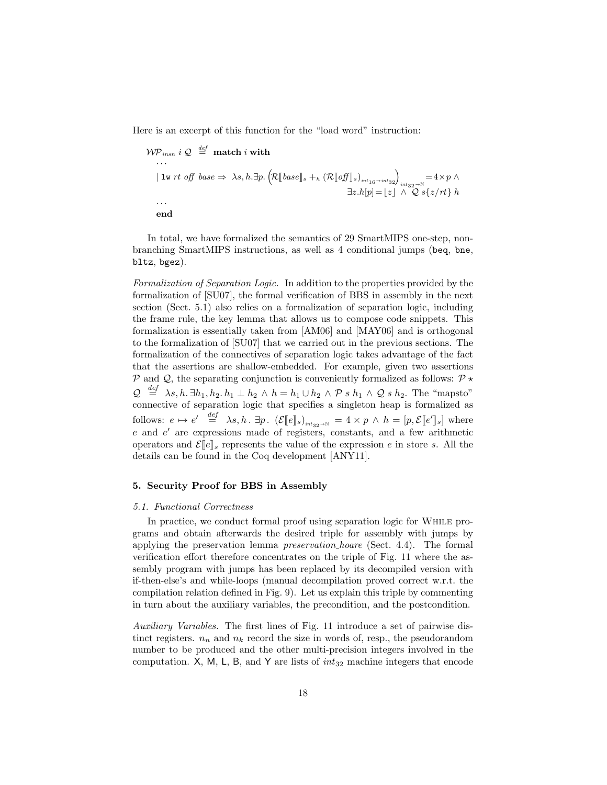Here is an excerpt of this function for the "load word" instruction:

$$
\mathcal{WP}_{insn} \, i \, \mathcal{Q} \, \stackrel{\text{def}}{=} \, \text{match } i \text{ with}
$$
\n
$$
\begin{aligned}\n\mathbf{1} \mathbf{w} \, rt \, \text{off } base &\Rightarrow \, \lambda s, h. \exists p. \left( \mathcal{R}[\![base]\!]_s +_h (\mathcal{R}[\![off]\!]_s)_{int_{16} \to int_{32}} \right)_{int_{32} \to \mathbb{N}} = 4 \times p \land \\
&\quad \mathbf{1} z. h[p] = \lfloor z \rfloor \land \mathcal{Q} \, s \{ z / rt \} \, h \\
&\quad \text{end}\n\end{aligned}
$$

In total, we have formalized the semantics of 29 SmartMIPS one-step, nonbranching SmartMIPS instructions, as well as 4 conditional jumps (beq, bne, bltz, bgez).

Formalization of Separation Logic. In addition to the properties provided by the formalization of [SU07], the formal verification of BBS in assembly in the next section (Sect. 5.1) also relies on a formalization of separation logic, including the frame rule, the key lemma that allows us to compose code snippets. This formalization is essentially taken from [AM06] and [MAY06] and is orthogonal to the formalization of [SU07] that we carried out in the previous sections. The formalization of the connectives of separation logic takes advantage of the fact that the assertions are shallow-embedded. For example, given two assertions P and Q, the separating conjunction is conveniently formalized as follows:  $\mathcal{P} \star$  $\mathcal{Q} \stackrel{\text{def}}{=} \lambda s, h \cdot \exists h_1, h_2 \cdot h_1 \perp h_2 \wedge h = h_1 \cup h_2 \wedge \mathcal{P} s h_1 \wedge \mathcal{Q} s h_2$ . The "mapsto" connective of separation logic that specifies a singleton heap is formalized as follows:  $e \mapsto e' \stackrel{def}{=} \lambda s, h \cdot \exists p \cdot (\mathcal{E}[\![e]\!]_s)_{int_{32^{-N}}} = 4 \times p \wedge h = [p, \mathcal{E}[\![e']\!]_s]$  where e and e' are expressions made of registers, constants, and a few arithmetic operators and  $\mathcal{E}[\epsilon]_s$  represents the value of the expression e in store s. All the details can be found in the Coq development [ANY11].

## 5. Security Proof for BBS in Assembly

#### 5.1. Functional Correctness

In practice, we conduct formal proof using separation logic for While programs and obtain afterwards the desired triple for assembly with jumps by applying the preservation lemma preservation hoare (Sect. 4.4). The formal verification effort therefore concentrates on the triple of Fig. 11 where the assembly program with jumps has been replaced by its decompiled version with if-then-else's and while-loops (manual decompilation proved correct w.r.t. the compilation relation defined in Fig. 9). Let us explain this triple by commenting in turn about the auxiliary variables, the precondition, and the postcondition.

Auxiliary Variables. The first lines of Fig. 11 introduce a set of pairwise distinct registers.  $n_n$  and  $n_k$  record the size in words of, resp., the pseudorandom number to be produced and the other multi-precision integers involved in the computation. X, M, L, B, and Y are lists of  $int_{32}$  machine integers that encode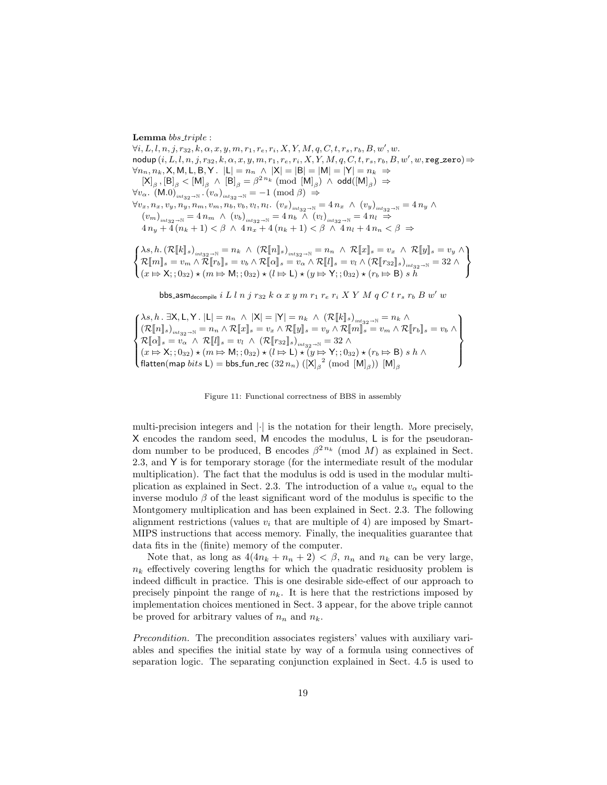#### Lemma  $bbs\_triple$ :

 $\forall i, L, l, n, j, r_{32}, k, \alpha, x, y, m, r_1, r_e, r_i, X, Y, M, q, C, t, r_s, r_b, B, w', w.$  $\mathsf{nodup}\,(i,L,l,n,j,r_{32},k,\alpha,x,y,m,r_1,r_e,r_i,X,Y,M,q,C,t,r_s,r_b,B,w',w,\mathtt{reg\_zero}) \Rightarrow$  $\forall n_n, n_k, X, M, L, B, Y$ .  $|L| = n_n \wedge |X| = |B| = |M| = |Y| = n_k \Rightarrow$  $\left[\mathsf{X}\right]_{\beta},\left[\mathsf{B}\right]_{\beta}<\left[\mathsf{M}\right]_{\beta}\,\wedge\,\left[\mathsf{B}\right]_{\beta}=\beta^{2\,n_{k}}\;(\text{mod}\;\left[\mathsf{M}\right]_{\beta})\,\wedge\,\text{odd}(\left[\mathsf{M}\right]_{\beta})\;\Rightarrow$  $\forall v_{\alpha}. \ (\mathsf{M}.0)_{int_{32} \rightarrow \mathbb{N}} \cdot (v_{\alpha})_{int_{32} \rightarrow \mathbb{N}} = -1 \ (\text{mod} \ \beta) \Rightarrow$  $\forall v_x, n_x, v_y, n_y, n_m, v_m, n_b, v_b, v_l, n_l$ .  $(v_x)_{int_{32} \to \mathbb{N}} = 4 n_x \wedge (v_y)_{int_{32} \to \mathbb{N}} = 4 n_y \wedge$  $(v_m)_{int_{32^{-N}}}=4 n_m \wedge (v_b)_{int_{32^{-N}}}=4 n_b \wedge (v_l)_{int_{32^{-N}}}=4 n_l \Rightarrow$ <br>  $4 n_y + 4 (n_k + 1) < \beta \wedge 4 n_x + 4 (n_k + 1) < \beta \wedge 4 n_l + 4 n_n < \beta \Rightarrow$ 

 $\sqrt{ }$ J  $\mathcal{L}$  $\lambda s, h. (\mathcal{R}[\![k]\!]_s)_{int_{32\to\mathbb{N}}} = n_k \wedge (\mathcal{R}[\![n]\!]_s)_{int_{32\to\mathbb{N}}} = n_n \wedge \mathcal{R}[\![x]\!]_s = v_x \wedge \mathcal{R}[\![y]\!]_s = v_y \wedge$  $\mathcal{R}[\![m]\!]_s = v_m \wedge \mathcal{R}[\![r_b]\!]_s = v_b \wedge \mathcal{R}[\![a]\!]_s = v_a \wedge \mathcal{R}[\![l]\!]_s = v_l \wedge (\mathcal{R}[\![r_{32}]\!]_s)_{int_{32^{-N}}} = 32 \wedge$  $(x \mapsto X; 0_{32}) \star (m \mapsto M; 0_{32}) \star (l \mapsto L) \star (y \mapsto Y; 0_{32}) \star (r_b \mapsto B) \, s \, h$  $\mathcal{L}$  $\mathcal{L}$  $\mathsf{I}$ 

bbs asm<sub>decompile</sub> i L l n j  $r_{32}$  k  $\alpha x y$  m  $r_1$   $r_e$   $r_i$  X Y M q C t  $r_s$   $r_b$  B  $w'$  w

 $\sqrt{ }$  $\int$  $\left\{ \begin{aligned} (x \mapsto X; ; 0_{32}) \star (m \mapsto M; ; 0_{32}) \star (l \mapsto L) \star (y \mapsto Y; ; 0_{32}) \star (r_b \mapsto B) \\ \text{flatten}(\text{map bits } L) = \text{bbs}\text{-fun-rec } (32 n_n) \left( [X]_{\beta}^2 \pmod{[M]_{\beta}} \right) [M]_{\beta} \end{aligned} \right.$  $\lambda s, h \cdot \exists X, L, Y \cdot |L| = n_n \wedge |X| = |Y| = n_k \wedge (\mathcal{R}[k]_s)_{int_{32\pi} \to N} = n_k \wedge$  $\mathcal{R}[\![n]\!]_s)_{int_3} = n_n \wedge \mathcal{R}[\![x]\!]_s = v_x \wedge \mathcal{R}[\![y]\!]_s = v_y \wedge \mathcal{R}[\![m]\!]_s = v_m \wedge \mathcal{R}[\![r_b]\!]_s = v_b \wedge \mathcal{R}[\![n]\!]_s$  $\mathcal{R}[\![\alpha]\!]_s = v_\alpha \wedge \mathcal{R}[\![l]\!]_s = v_l \wedge (\mathcal{R}[\![r_{32}]\!]_s)_{int_{32} \to \mathbb{N}} = 32 \wedge$  $(x \mapsto X; 0_{32}) \star (m \mapsto M; 0_{32}) \star (l \mapsto L) \star (y \mapsto Y; 0_{32}) \star (r_b \mapsto B) \cdot h \wedge$  $\mathcal{L}$  $\overline{\mathcal{L}}$  $\int$ 

Figure 11: Functional correctness of BBS in assembly

multi-precision integers and  $|\cdot|$  is the notation for their length. More precisely, X encodes the random seed, M encodes the modulus, L is for the pseudorandom number to be produced, B encodes  $\beta^{2n_k} \pmod{M}$  as explained in Sect. 2.3, and Y is for temporary storage (for the intermediate result of the modular multiplication). The fact that the modulus is odd is used in the modular multiplication as explained in Sect. 2.3. The introduction of a value  $v_{\alpha}$  equal to the inverse modulo  $\beta$  of the least significant word of the modulus is specific to the Montgomery multiplication and has been explained in Sect. 2.3. The following alignment restrictions (values  $v_i$  that are multiple of 4) are imposed by Smart-MIPS instructions that access memory. Finally, the inequalities guarantee that data fits in the (finite) memory of the computer.

Note that, as long as  $4(4n_k + n_n + 2) < \beta$ ,  $n_n$  and  $n_k$  can be very large,  $n_k$  effectively covering lengths for which the quadratic residuosity problem is indeed difficult in practice. This is one desirable side-effect of our approach to precisely pinpoint the range of  $n_k$ . It is here that the restrictions imposed by implementation choices mentioned in Sect. 3 appear, for the above triple cannot be proved for arbitrary values of  $n_n$  and  $n_k$ .

Precondition. The precondition associates registers' values with auxiliary variables and specifies the initial state by way of a formula using connectives of separation logic. The separating conjunction explained in Sect. 4.5 is used to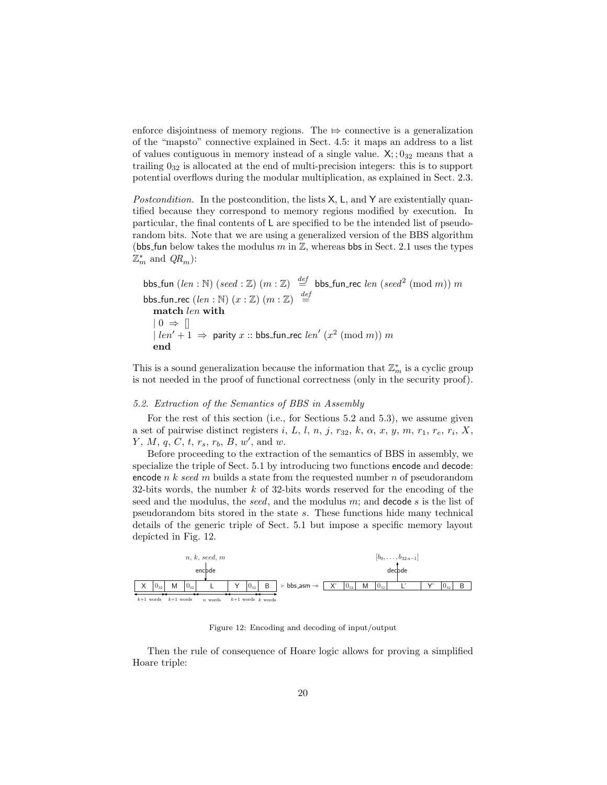enforce disjointness of memory regions. The  $\Rightarrow$  connective is a generalization of the "mapsto" connective explained in Sect. 4.5: it maps an address to a list of values contiguous in memory instead of a single value.  $X$ ;  $0_{32}$  means that a trailing  $0_{32}$  is allocated at the end of multi-precision integers: this is to support potential overflows during the modular multiplication, as explained in Sect. 2.3.

Postcondition. In the postcondition, the lists  $X$ ,  $L$ , and  $Y$  are existentially quantified because they correspond to memory regions modified by execution. In particular, the final contents of L are specified to be the intended list of pseudorandom bits. Note that we are using a generalized version of the BBS algorithm (bbs fun below takes the modulus  $m$  in  $\mathbb{Z}$ , whereas bbs in Sect. 2.1 uses the types  $\mathbb{Z}_m^*$  and  $QR_m$ ):

bbs\_fun  $(len : \mathbb{N})$   $(seed : \mathbb{Z})$   $(m : \mathbb{Z}) \stackrel{def}{=}$  bbs\_fun\_rec  $len \ (seed^2 \ (mod \ m)) \ m$ bbs\_fun\_rec  $(len : \mathbb{N})$   $(x : \mathbb{Z})$   $(m : \mathbb{Z}) \stackrel{def}{=}$ match len with  $|0 \Rightarrow$   $|$  $\left( \text{len}' + 1 \Rightarrow \text{parity } x :: \text{bbs-fun\_rec } \text{len}' \left( x^2 \pmod{m} \right) \text{m} \right)$ end

This is a sound generalization because the information that  $\mathbb{Z}_m^*$  is a cyclic group is not needed in the proof of functional correctness (only in the security proof).

# 5.2. Extraction of the Semantics of BBS in Assembly

For the rest of this section (i.e., for Sections 5.2 and 5.3), we assume given a set of pairwise distinct registers i, L, l, n, j,  $r_{32}$ , k,  $\alpha$ , x, y, m,  $r_1$ ,  $r_e$ ,  $r_i$ , X,  $Y, M, q, C, t, r_s, r_b, B, w', \text{and } w.$ 

Before proceeding to the extraction of the semantics of BBS in assembly, we specialize the triple of Sect. 5.1 by introducing two functions encode and decode: encode n k seed m builds a state from the requested number n of pseudorandom 32-bits words, the number  $k$  of 32-bits words reserved for the encoding of the seed and the modulus, the seed, and the modulus  $m$ ; and decode s is the list of pseudorandom bits stored in the state s. These functions hide many technical details of the generic triple of Sect. 5.1 but impose a specific memory layout depicted in Fig. 12.



Figure 12: Encoding and decoding of input/output

Then the rule of consequence of Hoare logic allows for proving a simplified Hoare triple: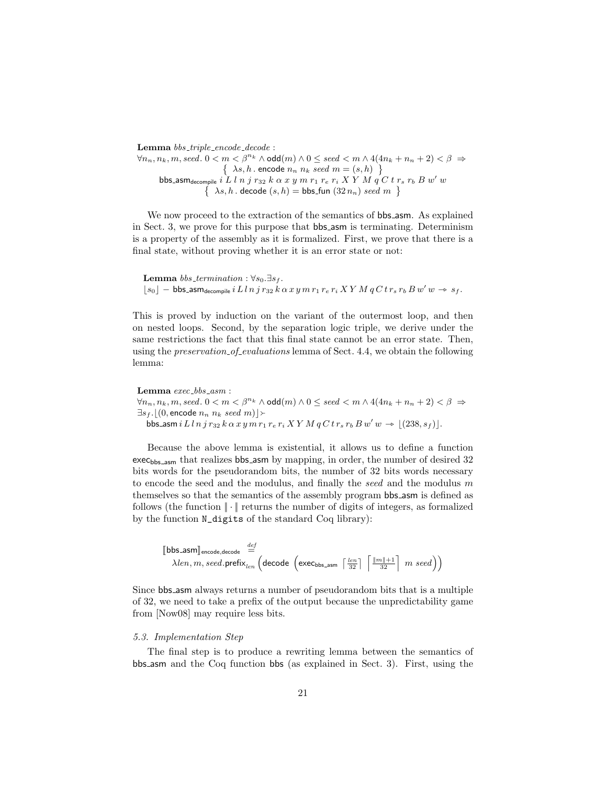Lemma bbs\_triple\_encode\_decode:

 $\forall n_n, n_k, m, seed. \ 0 < m < \beta^{n_k} \wedge \mathsf{odd}(m) \wedge 0 \le seed < m \wedge 4(4n_k + n_n + 2) < \beta \Rightarrow$  $\{ \lambda s, h \dots \text{encode } n_n \ n_k \ seed \ m = (s, h) \}$ <code>bbs\_asm</code> <code>decompile  $i$   $\stackrel{.}{L}$   $l$   $n$   $j$   $r_{32}$   $k$   $\alpha$   $x$   $y$   $m$   $r_1$   $r_e$   $r_i$   $X$   $Y$   $M$   $\stackrel{.}{q}$   $C$   $t$   $r_s$   $r_b$   $B$   $w'$   $w$ </code>  $\{ \lambda s, h \cdot \text{decode}(s, h) = \text{bbs-fun}(32 n_n) \text{ seed } m \}$ 

We now proceed to the extraction of the semantics of **bbs\_asm**. As explained in Sect. 3, we prove for this purpose that bbs asm is terminating. Determinism is a property of the assembly as it is formalized. First, we prove that there is a final state, without proving whether it is an error state or not:

**Lemma** bbs\_termination :  $\forall s_0.\exists s_f$ .  $\lfloor s_0 \rfloor$  − bbs\_asm<sub>decompile</sub> i L l n j  $r_{32}$  k  $\alpha x y$  m  $r_1$   $r_e$   $r_i$  X Y M q C t  $r_s$   $r_b$  B  $w'$   $w \rightarrow s_f$ .

This is proved by induction on the variant of the outermost loop, and then on nested loops. Second, by the separation logic triple, we derive under the same restrictions the fact that this final state cannot be an error state. Then, using the *preservation\_of\_evaluations* lemma of Sect. 4.4, we obtain the following lemma:

Lemma exec\_bbs\_asm:  $\forall n_n, n_k, m, seed. 0 < m < \beta^{n_k} \wedge \text{odd}(m) \wedge 0 \le seed < m \wedge 4(4n_k + n_n + 2) < \beta \Rightarrow$  $\exists s_f.$ | (0, encode  $n_n$   $n_k$  seed m)  $\rightarrow$ bbs asm  $i$  L l n j  $r_{32}$  k  $\alpha$  x y m  $r_1$   $r_e$   $r_i$  X Y M  $q$  C t  $r_s$   $r_b$  B  $w'$   $w \rightarrow |(238, s_f)$  .

Because the above lemma is existential, it allows us to define a function exec<sub>bbs asm</sub> that realizes bbs asm by mapping, in order, the number of desired  $32$ bits words for the pseudorandom bits, the number of 32 bits words necessary to encode the seed and the modulus, and finally the seed and the modulus  $m$ themselves so that the semantics of the assembly program bbs asm is defined as follows (the function  $\|\cdot\|$  returns the number of digits of integers, as formalized by the function N\_digits of the standard Coq library):

$$
\begin{array}{l} [\text{bbs\_asm}]_{\text{encode,decode}} \stackrel{def}{=} \\ \lambda len, m, seed.\text{prefix}_{len}\left(\text{decode}\ \left(\text{exec}_{\text{bbs\_asm}}\ \lceil \frac{len}{32} \rceil\ \lceil \frac{\lVert m \rVert + 1}{32} \rceil\ m \ seed \right) \right) \end{array}
$$

Since bbs asm always returns a number of pseudorandom bits that is a multiple of 32, we need to take a prefix of the output because the unpredictability game from [Now08] may require less bits.

# 5.3. Implementation Step

The final step is to produce a rewriting lemma between the semantics of bbs asm and the Coq function bbs (as explained in Sect. 3). First, using the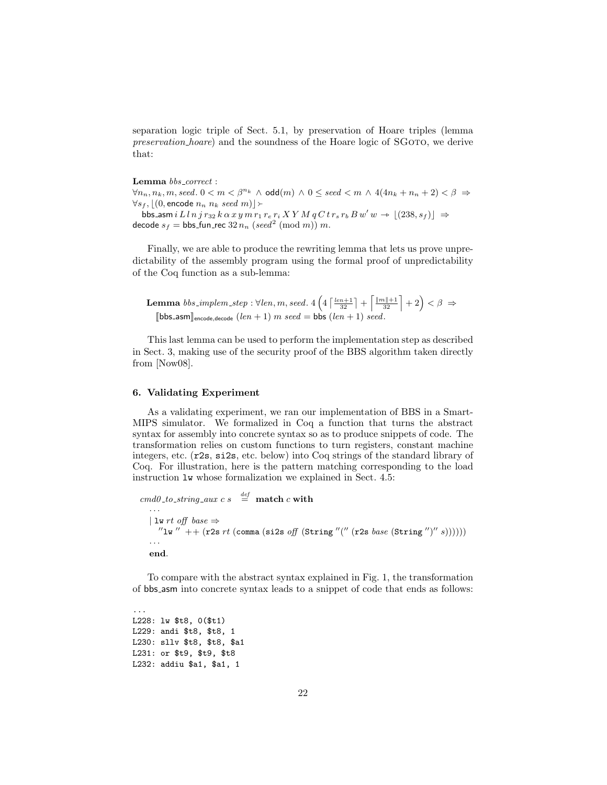separation logic triple of Sect. 5.1, by preservation of Hoare triples (lemma preservation\_hoare) and the soundness of the Hoare logic of SGOTO, we derive that:

# Lemma bbs\_correct :

 $\forall n_n, n_k, m, seed. 0 < m < \beta^{n_k} \land \text{odd}(m) \land 0 < seed < m \land 4(4n_k + n_n + 2) < \beta \Rightarrow$  $\forall s_f, |(0, \text{encode } n_n \text{ } n_k \text{ seed } m)| \rangle$ bbs asm  $i$  L l n j  $r_{32}$  k  $\alpha$  x y m  $r_1$   $r_e$   $r_i$  X Y M q C t  $r_s$   $r_b$  B  $w'$   $w \rightarrow |(238, s_f)| \Rightarrow$ 

decode  $s_f = \text{bbs-fun\_rec } 32 n_n \ (seed^2 \ (mod \ m)) \ m.$ 

Finally, we are able to produce the rewriting lemma that lets us prove unpredictability of the assembly program using the formal proof of unpredictability of the Coq function as a sub-lemma:

$$
\textbf{Lemma } bbs\_implement\_step: \forall len, m, seed.~4\left(4\left\lceil\frac{len+1}{32}\right\rceil + \left\lceil\frac{\|m\|+1}{32}\right\rceil + 2\right) < \beta \Rightarrow\\ \llbracket \text{bbs\_asm} \rrbracket_{\text{encode,decode}}\left(len+1\right) \, m \; seed = \text{bbs}\left(len+1\right) \, seed.
$$

This last lemma can be used to perform the implementation step as described in Sect. 3, making use of the security proof of the BBS algorithm taken directly from [Now08].

# 6. Validating Experiment

As a validating experiment, we ran our implementation of BBS in a Smart-MIPS simulator. We formalized in Coq a function that turns the abstract syntax for assembly into concrete syntax so as to produce snippets of code. The transformation relies on custom functions to turn registers, constant machine integers, etc. (r2s, si2s, etc. below) into Coq strings of the standard library of Coq. For illustration, here is the pattern matching corresponding to the load instruction lw whose formalization we explained in Sect. 4.5:

```
cmd0_to_string_aux c s \stackrel{def}{=} \textbf{match} c \textbf{ with}· · ·
  | lw rt off base \Rightarrow"lw" ++ (r2s rt (comma (si2s off (String "(" (r2s base (String ")" s))))))
  · · ·
  end.
```
To compare with the abstract syntax explained in Fig. 1, the transformation of bbs asm into concrete syntax leads to a snippet of code that ends as follows:

... L228: lw \$t8, 0(\$t1) L229: andi \$t8, \$t8, 1 L230: sllv \$t8, \$t8, \$a1 L231: or \$t9, \$t9, \$t8 L232: addiu \$a1, \$a1, 1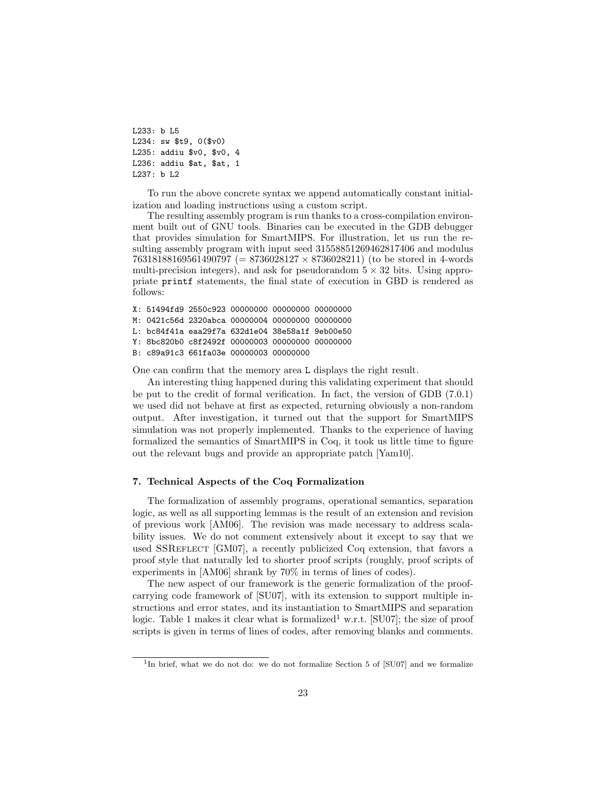```
L233: b L5
L234: sw $t9, 0($v0)
L235: addiu $v0, $v0, 4
L236: addiu $at, $at, 1
L237: b L2
```
To run the above concrete syntax we append automatically constant initialization and loading instructions using a custom script.

The resulting assembly program is run thanks to a cross-compilation environment built out of GNU tools. Binaries can be executed in the GDB debugger that provides simulation for SmartMIPS. For illustration, let us run the resulting assembly program with input seed 31558851269462817406 and modulus  $76318188169561490797 (= 8736028127 \times 8736028211)$  (to be stored in 4-words multi-precision integers), and ask for pseudorandom  $5 \times 32$  bits. Using appropriate printf statements, the final state of execution in GBD is rendered as follows:

X: 51494fd9 2550c923 00000000 00000000 00000000 M: 0421c56d 2320abca 00000004 00000000 00000000 L: bc84f41a eaa29f7a 632d1e04 38e58a1f 9eb00e50 Y: 8bc820b0 c8f2492f 00000003 00000000 00000000 B: c89a91c3 661fa03e 00000003 00000000

One can confirm that the memory area L displays the right result.

An interesting thing happened during this validating experiment that should be put to the credit of formal verification. In fact, the version of GDB (7.0.1) we used did not behave at first as expected, returning obviously a non-random output. After investigation, it turned out that the support for SmartMIPS simulation was not properly implemented. Thanks to the experience of having formalized the semantics of SmartMIPS in Coq, it took us little time to figure out the relevant bugs and provide an appropriate patch [Yam10].

# 7. Technical Aspects of the Coq Formalization

The formalization of assembly programs, operational semantics, separation logic, as well as all supporting lemmas is the result of an extension and revision of previous work [AM06]. The revision was made necessary to address scalability issues. We do not comment extensively about it except to say that we used SSREFLECT [GM07], a recently publicized Coq extension, that favors a proof style that naturally led to shorter proof scripts (roughly, proof scripts of experiments in [AM06] shrank by 70% in terms of lines of codes).

The new aspect of our framework is the generic formalization of the proofcarrying code framework of [SU07], with its extension to support multiple instructions and error states, and its instantiation to SmartMIPS and separation logic. Table 1 makes it clear what is formalized<sup>1</sup> w.r.t. [SU07]; the size of proof scripts is given in terms of lines of codes, after removing blanks and comments.

<sup>&</sup>lt;sup>1</sup>In brief, what we do not do: we do not formalize Section 5 of [SU07] and we formalize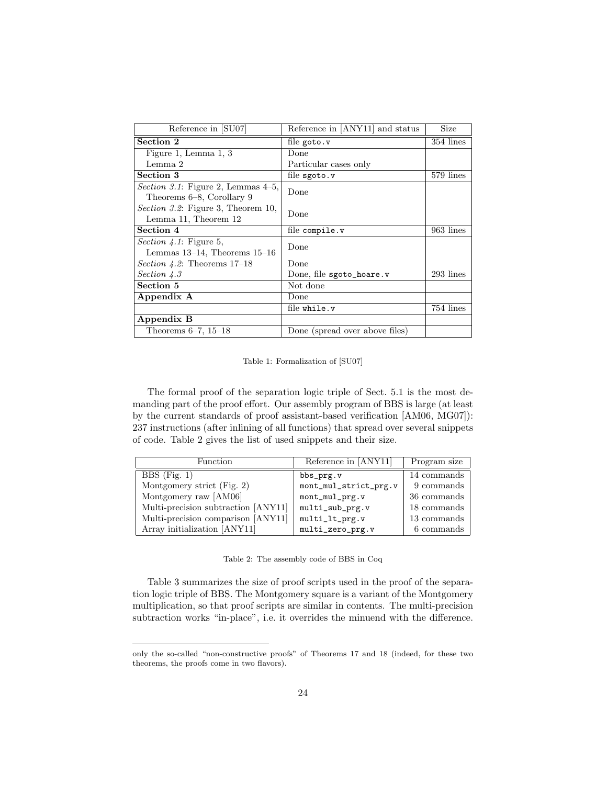| Reference in [SU07]                                                        | Reference in [ANY11] and status | Size      |
|----------------------------------------------------------------------------|---------------------------------|-----------|
| Section 2                                                                  | file $goto.v$                   | 354 lines |
| Figure 1, Lemma 1, 3                                                       | Done                            |           |
| Lemma 2                                                                    | Particular cases only           |           |
| Section 3                                                                  | file sgoto.v                    | 579 lines |
| <i>Section 3.1</i> : Figure 2, Lemmas $4-5$ ,<br>Theorems 6–8, Corollary 9 | Done                            |           |
| <i>Section 3.2</i> : Figure 3, Theorem 10,<br>Lemma 11, Theorem 12         | Done                            |           |
| Section 4                                                                  | file compile.v                  | 963 lines |
| <i>Section 4.1</i> : Figure 5,<br>Lemmas $13-14$ , Theorems $15-16$        | Done                            |           |
| <i>Section 4.2</i> : Theorems $17-18$                                      | Done                            |           |
| Section 4.3                                                                | Done, file sgoto_hoare.v        | 293 lines |
| Section 5                                                                  | Not done                        |           |
| Appendix A                                                                 | Done                            |           |
|                                                                            | file while.v                    | 754 lines |
| Appendix B                                                                 |                                 |           |
| Theorems $6-7$ , $15-18$                                                   | Done (spread over above files)  |           |

Table 1: Formalization of [SU07]

The formal proof of the separation logic triple of Sect. 5.1 is the most demanding part of the proof effort. Our assembly program of BBS is large (at least by the current standards of proof assistant-based verification [AM06, MG07]): 237 instructions (after inlining of all functions) that spread over several snippets of code. Table 2 gives the list of used snippets and their size.

| Function                            | Reference in [ANY11]  | Program size |
|-------------------------------------|-----------------------|--------------|
| BBS $(Fig. 1)$                      | bbs_prg.v             | 14 commands  |
| Montgomery strict (Fig. 2)          | mont_mul_strict_prg.v | 9 commands   |
| Montgomery raw [AM06]               | mont_mul_prg.v        | 36 commands  |
| Multi-precision subtraction [ANY11] | multi_sub_prg.v       | 18 commands  |
| Multi-precision comparison [ANY11]  | multi_lt_prg.v        | 13 commands  |
| Array initialization [ANY11]        | multi_zero_prg.v      | 6 commands   |

#### Table 2: The assembly code of BBS in Coq

Table 3 summarizes the size of proof scripts used in the proof of the separation logic triple of BBS. The Montgomery square is a variant of the Montgomery multiplication, so that proof scripts are similar in contents. The multi-precision subtraction works "in-place", i.e. it overrides the minuend with the difference.

only the so-called "non-constructive proofs" of Theorems 17 and 18 (indeed, for these two theorems, the proofs come in two flavors).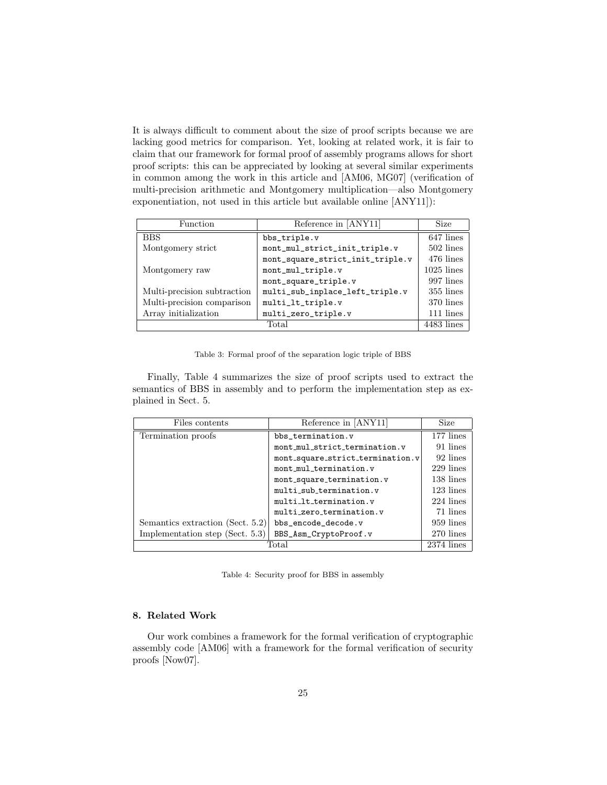It is always difficult to comment about the size of proof scripts because we are lacking good metrics for comparison. Yet, looking at related work, it is fair to claim that our framework for formal proof of assembly programs allows for short proof scripts: this can be appreciated by looking at several similar experiments in common among the work in this article and [AM06, MG07] (verification of multi-precision arithmetic and Montgomery multiplication—also Montgomery exponentiation, not used in this article but available online [ANY11]):

| Function                    | Reference in [ANY11]             | Size         |
|-----------------------------|----------------------------------|--------------|
| <b>BBS</b>                  | bbs_triple.v                     | 647 lines    |
| Montgomery strict           | mont_mul_strict_init_triple.v    | $502$ lines  |
|                             | mont_square_strict_init_triple.v | 476 lines    |
| Montgomery raw              | mont_mul_triple.v                | $1025$ lines |
|                             | mont_square_triple.v             | 997 lines    |
| Multi-precision subtraction | multi_sub_inplace_left_triple.v  | $355$ lines  |
| Multi-precision comparison  | multi_lt_triple.v                | 370 lines    |
| Array initialization        | multi_zero_triple.v              | 111 lines    |
|                             | Total                            | 4483 lines   |

Table 3: Formal proof of the separation logic triple of BBS

Finally, Table 4 summarizes the size of proof scripts used to extract the semantics of BBS in assembly and to perform the implementation step as explained in Sect. 5.

| Files contents                   | Reference in [ANY11]             | Size         |
|----------------------------------|----------------------------------|--------------|
| Termination proofs               | bbs termination.v                | $177$ lines  |
|                                  | mont mul strict termination.v    | 91 lines     |
|                                  | mont_square_strict_termination.v | 92 lines     |
|                                  | mont_mul_termination.v           | 229 lines    |
|                                  | mont_square_termination.v        | 138 lines    |
|                                  | multi_sub_termination.v          | $123$ lines  |
|                                  | multi_lt_termination.v           | 224 lines    |
|                                  | multi_zero_termination.v         | 71 lines     |
| Semantics extraction (Sect. 5.2) | bbs_encode_decode.v              | 959 lines    |
| Implementation step (Sect. 5.3)  | BBS_Asm_CryptoProof.v            | 270 lines    |
|                                  | $\text{Total}$                   | $2374$ lines |

Table 4: Security proof for BBS in assembly

# 8. Related Work

Our work combines a framework for the formal verification of cryptographic assembly code [AM06] with a framework for the formal verification of security proofs [Now07].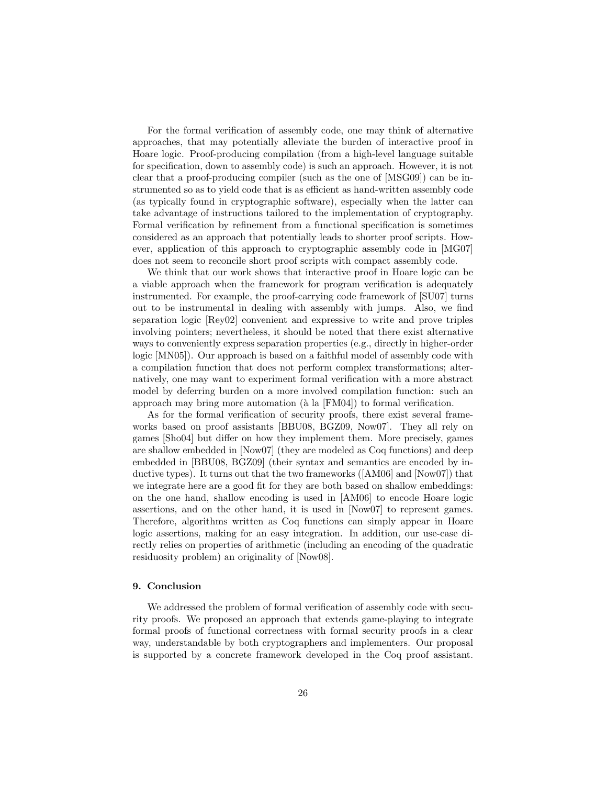For the formal verification of assembly code, one may think of alternative approaches, that may potentially alleviate the burden of interactive proof in Hoare logic. Proof-producing compilation (from a high-level language suitable for specification, down to assembly code) is such an approach. However, it is not clear that a proof-producing compiler (such as the one of [MSG09]) can be instrumented so as to yield code that is as efficient as hand-written assembly code (as typically found in cryptographic software), especially when the latter can take advantage of instructions tailored to the implementation of cryptography. Formal verification by refinement from a functional specification is sometimes considered as an approach that potentially leads to shorter proof scripts. However, application of this approach to cryptographic assembly code in [MG07] does not seem to reconcile short proof scripts with compact assembly code.

We think that our work shows that interactive proof in Hoare logic can be a viable approach when the framework for program verification is adequately instrumented. For example, the proof-carrying code framework of [SU07] turns out to be instrumental in dealing with assembly with jumps. Also, we find separation logic [Rey02] convenient and expressive to write and prove triples involving pointers; nevertheless, it should be noted that there exist alternative ways to conveniently express separation properties (e.g., directly in higher-order logic [MN05]). Our approach is based on a faithful model of assembly code with a compilation function that does not perform complex transformations; alternatively, one may want to experiment formal verification with a more abstract model by deferring burden on a more involved compilation function: such an approach may bring more automation  $(\hat{a} \text{ la } [FM04])$  to formal verification.

As for the formal verification of security proofs, there exist several frameworks based on proof assistants [BBU08, BGZ09, Now07]. They all rely on games [Sho04] but differ on how they implement them. More precisely, games are shallow embedded in [Now07] (they are modeled as Coq functions) and deep embedded in [BBU08, BGZ09] (their syntax and semantics are encoded by inductive types). It turns out that the two frameworks ([AM06] and [Now07]) that we integrate here are a good fit for they are both based on shallow embeddings: on the one hand, shallow encoding is used in [AM06] to encode Hoare logic assertions, and on the other hand, it is used in [Now07] to represent games. Therefore, algorithms written as Coq functions can simply appear in Hoare logic assertions, making for an easy integration. In addition, our use-case directly relies on properties of arithmetic (including an encoding of the quadratic residuosity problem) an originality of [Now08].

# 9. Conclusion

We addressed the problem of formal verification of assembly code with security proofs. We proposed an approach that extends game-playing to integrate formal proofs of functional correctness with formal security proofs in a clear way, understandable by both cryptographers and implementers. Our proposal is supported by a concrete framework developed in the Coq proof assistant.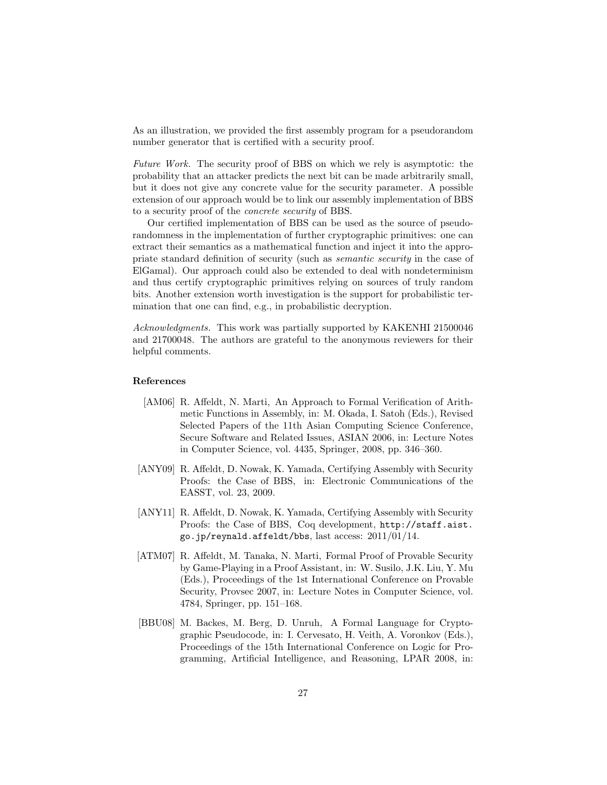As an illustration, we provided the first assembly program for a pseudorandom number generator that is certified with a security proof.

Future Work. The security proof of BBS on which we rely is asymptotic: the probability that an attacker predicts the next bit can be made arbitrarily small, but it does not give any concrete value for the security parameter. A possible extension of our approach would be to link our assembly implementation of BBS to a security proof of the concrete security of BBS.

Our certified implementation of BBS can be used as the source of pseudorandomness in the implementation of further cryptographic primitives: one can extract their semantics as a mathematical function and inject it into the appropriate standard definition of security (such as semantic security in the case of ElGamal). Our approach could also be extended to deal with nondeterminism and thus certify cryptographic primitives relying on sources of truly random bits. Another extension worth investigation is the support for probabilistic termination that one can find, e.g., in probabilistic decryption.

Acknowledgments. This work was partially supported by KAKENHI 21500046 and 21700048. The authors are grateful to the anonymous reviewers for their helpful comments.

# References

- [AM06] R. Affeldt, N. Marti, An Approach to Formal Verification of Arithmetic Functions in Assembly, in: M. Okada, I. Satoh (Eds.), Revised Selected Papers of the 11th Asian Computing Science Conference, Secure Software and Related Issues, ASIAN 2006, in: Lecture Notes in Computer Science, vol. 4435, Springer, 2008, pp. 346–360.
- [ANY09] R. Affeldt, D. Nowak, K. Yamada, Certifying Assembly with Security Proofs: the Case of BBS, in: Electronic Communications of the EASST, vol. 23, 2009.
- [ANY11] R. Affeldt, D. Nowak, K. Yamada, Certifying Assembly with Security Proofs: the Case of BBS, Coq development, http://staff.aist. go.jp/reynald.affeldt/bbs, last access: 2011/01/14.
- [ATM07] R. Affeldt, M. Tanaka, N. Marti, Formal Proof of Provable Security by Game-Playing in a Proof Assistant, in: W. Susilo, J.K. Liu, Y. Mu (Eds.), Proceedings of the 1st International Conference on Provable Security, Provsec 2007, in: Lecture Notes in Computer Science, vol. 4784, Springer, pp. 151–168.
- [BBU08] M. Backes, M. Berg, D. Unruh, A Formal Language for Cryptographic Pseudocode, in: I. Cervesato, H. Veith, A. Voronkov (Eds.), Proceedings of the 15th International Conference on Logic for Programming, Artificial Intelligence, and Reasoning, LPAR 2008, in: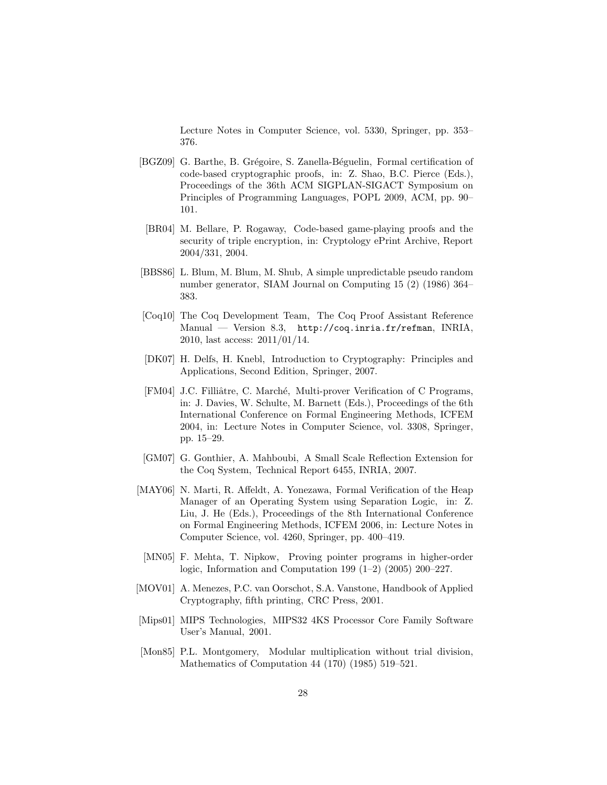Lecture Notes in Computer Science, vol. 5330, Springer, pp. 353– 376.

- [BGZ09] G. Barthe, B. Grégoire, S. Zanella-Béguelin, Formal certification of code-based cryptographic proofs, in: Z. Shao, B.C. Pierce (Eds.), Proceedings of the 36th ACM SIGPLAN-SIGACT Symposium on Principles of Programming Languages, POPL 2009, ACM, pp. 90– 101.
- [BR04] M. Bellare, P. Rogaway, Code-based game-playing proofs and the security of triple encryption, in: Cryptology ePrint Archive, Report 2004/331, 2004.
- [BBS86] L. Blum, M. Blum, M. Shub, A simple unpredictable pseudo random number generator, SIAM Journal on Computing 15 (2) (1986) 364– 383.
- [Coq10] The Coq Development Team, The Coq Proof Assistant Reference Manual — Version 8.3, http://coq.inria.fr/refman, INRIA, 2010, last access: 2011/01/14.
- [DK07] H. Delfs, H. Knebl, Introduction to Cryptography: Principles and Applications, Second Edition, Springer, 2007.
- [FM04] J.C. Filliâtre, C. Marché, Multi-prover Verification of C Programs, in: J. Davies, W. Schulte, M. Barnett (Eds.), Proceedings of the 6th International Conference on Formal Engineering Methods, ICFEM 2004, in: Lecture Notes in Computer Science, vol. 3308, Springer, pp. 15–29.
- [GM07] G. Gonthier, A. Mahboubi, A Small Scale Reflection Extension for the Coq System, Technical Report 6455, INRIA, 2007.
- [MAY06] N. Marti, R. Affeldt, A. Yonezawa, Formal Verification of the Heap Manager of an Operating System using Separation Logic, in: Z. Liu, J. He (Eds.), Proceedings of the 8th International Conference on Formal Engineering Methods, ICFEM 2006, in: Lecture Notes in Computer Science, vol. 4260, Springer, pp. 400–419.
- [MN05] F. Mehta, T. Nipkow, Proving pointer programs in higher-order logic, Information and Computation 199 (1–2) (2005) 200–227.
- [MOV01] A. Menezes, P.C. van Oorschot, S.A. Vanstone, Handbook of Applied Cryptography, fifth printing, CRC Press, 2001.
- [Mips01] MIPS Technologies, MIPS32 4KS Processor Core Family Software User's Manual, 2001.
- [Mon85] P.L. Montgomery, Modular multiplication without trial division, Mathematics of Computation 44 (170) (1985) 519–521.